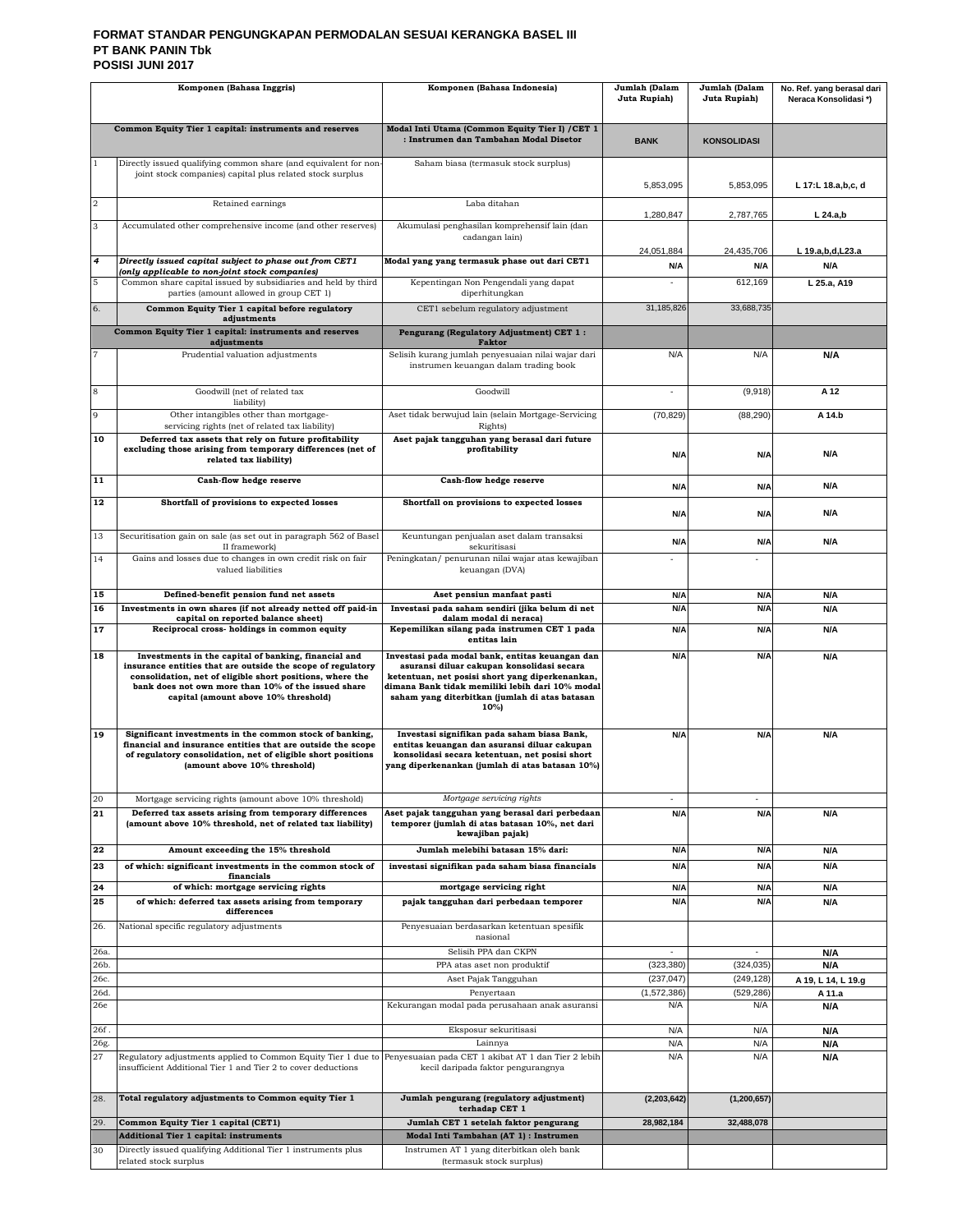#### **FORMAT STANDAR PENGUNGKAPAN PERMODALAN SESUAI KERANGKA BASEL III PT BANK PANIN Tbk POSISI JUNI 2017**

| Komponen (Bahasa Inggris) |                                                                                                                                                                                                                                                                                 | Komponen (Bahasa Indonesia)                                                                                                                                                                                                                                   | Jumlah (Dalam<br>Juta Rupiah) | Jumlah (Dalam<br>Juta Rupiah) | No. Ref. yang berasal dari<br>Neraca Konsolidasi*) |
|---------------------------|---------------------------------------------------------------------------------------------------------------------------------------------------------------------------------------------------------------------------------------------------------------------------------|---------------------------------------------------------------------------------------------------------------------------------------------------------------------------------------------------------------------------------------------------------------|-------------------------------|-------------------------------|----------------------------------------------------|
|                           | Common Equity Tier 1 capital: instruments and reserves                                                                                                                                                                                                                          | Modal Inti Utama (Common Equity Tier I) / CET 1<br>: Instrumen dan Tambahan Modal Disetor                                                                                                                                                                     | <b>BANK</b>                   | <b>KONSOLIDASI</b>            |                                                    |
| $\overline{1}$            | Directly issued qualifying common share (and equivalent for non-<br>joint stock companies) capital plus related stock surplus                                                                                                                                                   | Saham biasa (termasuk stock surplus)                                                                                                                                                                                                                          | 5,853,095                     | 5,853,095                     | L 17:L 18.a,b,c, d                                 |
| $\overline{a}$            | Retained earnings                                                                                                                                                                                                                                                               | Laba ditahan                                                                                                                                                                                                                                                  | 1,280,847                     | 2,787,765                     | $L$ 24.a,b                                         |
| 3                         | Accumulated other comprehensive income (and other reserves)                                                                                                                                                                                                                     | Akumulasi penghasilan komprehensif lain (dan<br>cadangan lain)                                                                                                                                                                                                | 24,051,884                    | 24,435,706                    | L 19.a,b,d,L23.a                                   |
| $\overline{4}$            | Directly issued capital subject to phase out from CET1<br>(only applicable to non-joint stock companies)                                                                                                                                                                        | Modal yang yang termasuk phase out dari CET1                                                                                                                                                                                                                  | N/A                           | N/A                           | N/A                                                |
| 5                         | Common share capital issued by subsidiaries and held by third<br>parties (amount allowed in group CET 1)                                                                                                                                                                        | Kepentingan Non Pengendali yang dapat<br>diperhitungkan                                                                                                                                                                                                       |                               | 612,169                       | L 25.a, A19                                        |
| 6.                        | Common Equity Tier 1 capital before regulatory<br>adjustments                                                                                                                                                                                                                   | CET1 sebelum regulatory adjustment                                                                                                                                                                                                                            | 31,185,826                    | 33,688,735                    |                                                    |
|                           | Common Equity Tier 1 capital: instruments and reserves<br>adjustments                                                                                                                                                                                                           | Pengurang (Regulatory Adjustment) CET 1:<br><b>Faktor</b>                                                                                                                                                                                                     |                               |                               |                                                    |
|                           | Prudential valuation adjustments                                                                                                                                                                                                                                                | Selisih kurang jumlah penyesuaian nilai wajar dari<br>instrumen keuangan dalam trading book                                                                                                                                                                   | N/A                           | N/A                           | N/A                                                |
| 8                         | Goodwill (net of related tax<br>liability)                                                                                                                                                                                                                                      | Goodwill                                                                                                                                                                                                                                                      | ä,                            | (9,918)                       | A 12                                               |
| 9                         | Other intangibles other than mortgage-<br>servicing rights (net of related tax liability)                                                                                                                                                                                       | Aset tidak berwujud lain (selain Mortgage-Servicing<br>Rights)                                                                                                                                                                                                | (70, 829)                     | (88, 290)                     | A 14.b                                             |
| 10                        | Deferred tax assets that rely on future profitability<br>excluding those arising from temporary differences (net of<br>related tax liability)                                                                                                                                   | Aset pajak tangguhan yang berasal dari future<br>profitability                                                                                                                                                                                                | N/A                           | N/A                           | <b>N/A</b>                                         |
| 11                        | Cash-flow hedge reserve                                                                                                                                                                                                                                                         | Cash-flow hedge reserve                                                                                                                                                                                                                                       | N/A                           | N/A                           | N/A                                                |
| 12                        | Shortfall of provisions to expected losses                                                                                                                                                                                                                                      | Shortfall on provisions to expected losses                                                                                                                                                                                                                    | N/A                           | N/A                           | N/A                                                |
| 13                        | Securitisation gain on sale (as set out in paragraph 562 of Basel<br>II framework)                                                                                                                                                                                              | Keuntungan penjualan aset dalam transaksi<br>sekuritisasi                                                                                                                                                                                                     | N/A                           | N/A                           | N/A                                                |
| 14                        | Gains and losses due to changes in own credit risk on fair<br>valued liabilities                                                                                                                                                                                                | Peningkatan/ penurunan nilai wajar atas kewajiban<br>keuangan (DVA)                                                                                                                                                                                           |                               |                               |                                                    |
| 15<br>16                  | Defined-benefit pension fund net assets<br>Investments in own shares (if not already netted off paid-in                                                                                                                                                                         | Aset pensiun manfaat pasti<br>Investasi pada saham sendiri (jika belum di net                                                                                                                                                                                 | N/A<br>N/A                    | N/A<br>N/A                    | N/A<br>N/A                                         |
| 17                        | capital on reported balance sheet)<br>Reciprocal cross-holdings in common equity                                                                                                                                                                                                | dalam modal di neraca)<br>Kepemilikan silang pada instrumen CET 1 pada                                                                                                                                                                                        | N/A                           | N/A                           | N/A                                                |
|                           |                                                                                                                                                                                                                                                                                 | entitas lain                                                                                                                                                                                                                                                  |                               |                               |                                                    |
| 18                        | Investments in the capital of banking, financial and<br>insurance entities that are outside the scope of regulatory<br>consolidation, net of eligible short positions, where the<br>bank does not own more than 10% of the issued share<br>capital (amount above 10% threshold) | Investasi pada modal bank, entitas keuangan dan<br>asuransi diluar cakupan konsolidasi secara<br>ketentuan, net posisi short yang diperkenankan,<br>dimana Bank tidak memiliki lebih dari 10% modal<br>saham yang diterbitkan (jumlah di atas batasan<br>10%) | N/A                           | N/A                           | N/A                                                |
| 19                        | Significant investments in the common stock of banking,<br>financial and insurance entities that are outside the scope<br>of regulatory consolidation, net of eligible short positions<br>(amount above 10% threshold)                                                          | Investasi signifikan pada saham biasa Bank,<br>entitas keuangan dan asuransi diluar cakupan<br>konsolidasi secara ketentuan, net posisi short<br>yang diperkenankan (jumlah di atas batasan 10%)                                                              | N/A                           | N/A                           | <b>N/A</b>                                         |
| 20<br>21                  | Mortgage servicing rights (amount above 10% threshold)<br>Deferred tax assets arising from temporary differences                                                                                                                                                                | Mortgage servicing rights<br>Aset pajak tangguhan yang berasal dari perbedaan                                                                                                                                                                                 | N/A                           | N/A                           | N/A                                                |
| 22                        | (amount above 10% threshold, net of related tax liability)<br>Amount exceeding the 15% threshold                                                                                                                                                                                | temporer (jumlah di atas batasan 10%, net dari<br>kewajiban pajak)<br>Jumlah melebihi batasan 15% dari:                                                                                                                                                       | N/A                           | N/A                           | <b>N/A</b>                                         |
| 23                        | of which: significant investments in the common stock of                                                                                                                                                                                                                        | investasi signifikan pada saham biasa financials                                                                                                                                                                                                              | N/A                           | N/A                           | N/A                                                |
| 24                        | financials<br>of which: mortgage servicing rights                                                                                                                                                                                                                               | mortgage servicing right                                                                                                                                                                                                                                      | N/A                           | N/A                           | N/A                                                |
| 25                        | of which: deferred tax assets arising from temporary<br>differences                                                                                                                                                                                                             | pajak tangguhan dari perbedaan temporer                                                                                                                                                                                                                       | N/A                           | N/A                           | N/A                                                |
| 26.                       | National specific regulatory adjustments                                                                                                                                                                                                                                        | Penyesuaian berdasarkan ketentuan spesifik<br>nasional                                                                                                                                                                                                        |                               |                               |                                                    |
| 26a.<br>26b.              |                                                                                                                                                                                                                                                                                 | Selisih PPA dan CKPN<br>PPA atas aset non produktif                                                                                                                                                                                                           | ٠<br>(323, 380)               | $\sim$<br>(324, 035)          | N/A<br>N/A                                         |
| 26c.                      |                                                                                                                                                                                                                                                                                 | Aset Pajak Tangguhan                                                                                                                                                                                                                                          | (237, 047)                    | (249, 128)                    | A 19, L 14, L 19.g                                 |
| 26d.                      |                                                                                                                                                                                                                                                                                 | Penyertaan                                                                                                                                                                                                                                                    | (1,572,386)                   | (529, 286)                    | A 11.a                                             |
| 26e                       |                                                                                                                                                                                                                                                                                 | Kekurangan modal pada perusahaan anak asuransi                                                                                                                                                                                                                | N/A                           | N/A                           | N/A                                                |
| 26f.<br>26g.              |                                                                                                                                                                                                                                                                                 | Eksposur sekuritisasi<br>Lainnya                                                                                                                                                                                                                              | N/A<br>N/A                    | N/A<br>N/A                    | N/A<br>N/A                                         |
| 27                        | Regulatory adjustments applied to Common Equity Tier 1 due to<br>insufficient Additional Tier 1 and Tier 2 to cover deductions                                                                                                                                                  | Penyesuaian pada CET 1 akibat AT 1 dan Tier 2 lebih<br>kecil daripada faktor pengurangnya                                                                                                                                                                     | N/A                           | N/A                           | N/A                                                |
| 28.                       | Total regulatory adjustments to Common equity Tier 1                                                                                                                                                                                                                            | Jumlah pengurang (regulatory adjustment)<br>terhadap CET 1                                                                                                                                                                                                    | (2, 203, 642)                 | (1, 200, 657)                 |                                                    |
| 29.                       | Common Equity Tier 1 capital (CET1)                                                                                                                                                                                                                                             | Jumlah CET 1 setelah faktor pengurang                                                                                                                                                                                                                         | 28,982,184                    | 32,488,078                    |                                                    |
| 30                        | <b>Additional Tier 1 capital: instruments</b><br>Directly issued qualifying Additional Tier 1 instruments plus                                                                                                                                                                  | Modal Inti Tambahan (AT 1) : Instrumen<br>Instrumen AT 1 yang diterbitkan oleh bank                                                                                                                                                                           |                               |                               |                                                    |
|                           | related stock surplus                                                                                                                                                                                                                                                           | (termasuk stock surplus)                                                                                                                                                                                                                                      |                               |                               |                                                    |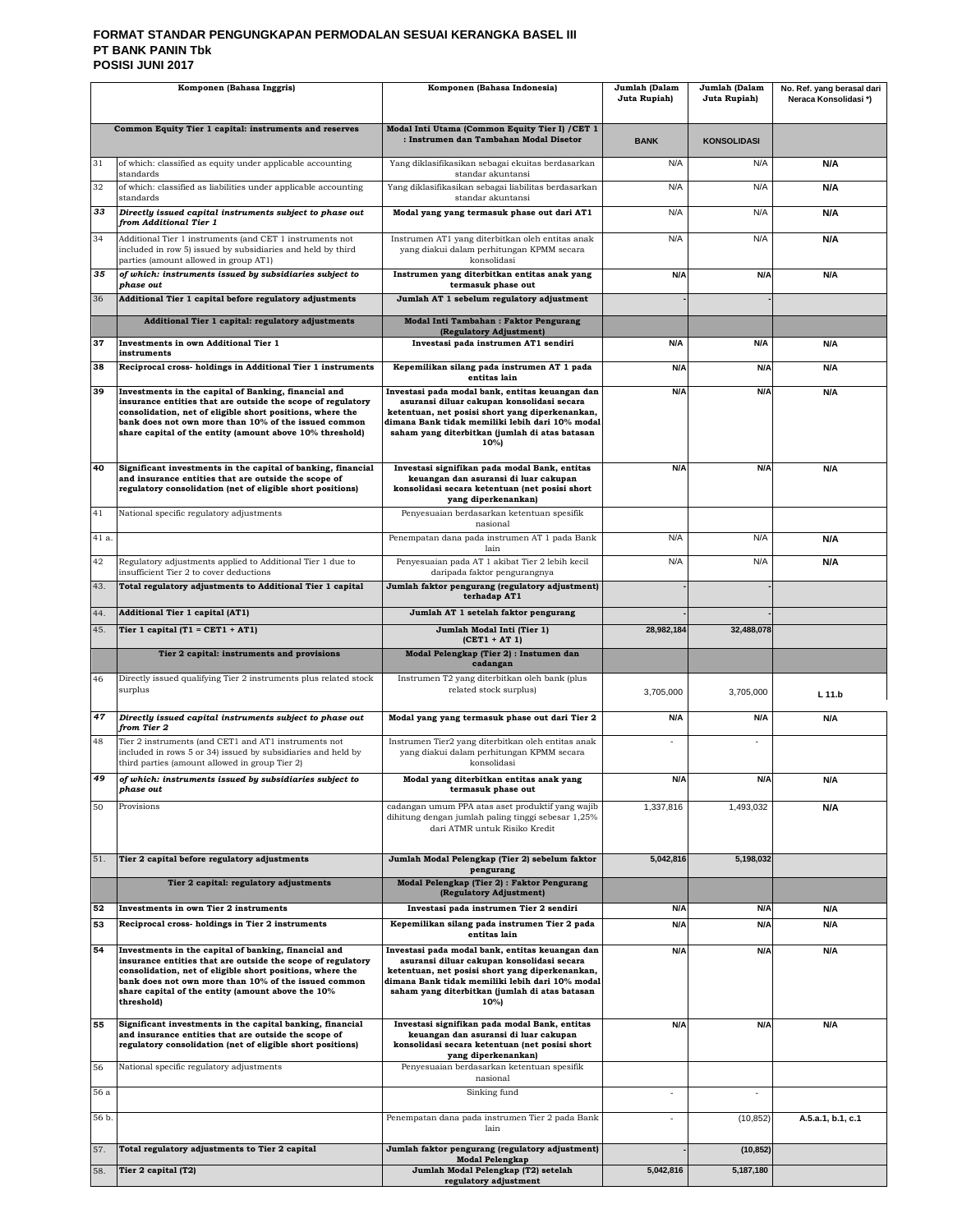#### **FORMAT STANDAR PENGUNGKAPAN PERMODALAN SESUAI KERANGKA BASEL III PT BANK PANIN Tbk POSISI JUNI 2017**

| Komponen (Bahasa Inggris) |                                                                                                                                                                                                                                                                                                             | Komponen (Bahasa Indonesia)                                                                                                                                                                                                                                   | Jumlah (Dalam<br>Juta Rupiah) | Jumlah (Dalam<br>Juta Rupiah) | No. Ref. yang berasal dari<br>Neraca Konsolidasi*) |
|---------------------------|-------------------------------------------------------------------------------------------------------------------------------------------------------------------------------------------------------------------------------------------------------------------------------------------------------------|---------------------------------------------------------------------------------------------------------------------------------------------------------------------------------------------------------------------------------------------------------------|-------------------------------|-------------------------------|----------------------------------------------------|
|                           |                                                                                                                                                                                                                                                                                                             |                                                                                                                                                                                                                                                               |                               |                               |                                                    |
|                           | Common Equity Tier 1 capital: instruments and reserves                                                                                                                                                                                                                                                      | Modal Inti Utama (Common Equity Tier I) / CET 1<br>: Instrumen dan Tambahan Modal Disetor                                                                                                                                                                     | <b>BANK</b>                   | <b>KONSOLIDASI</b>            |                                                    |
| 31                        | of which: classified as equity under applicable accounting<br>standards                                                                                                                                                                                                                                     | Yang diklasifikasikan sebagai ekuitas berdasarkan<br>standar akuntansi                                                                                                                                                                                        | N/A                           | N/A                           | N/A                                                |
| 32                        | of which: classified as liabilities under applicable accounting<br>standards                                                                                                                                                                                                                                | Yang diklasifikasikan sebagai liabilitas berdasarkan<br>standar akuntansi                                                                                                                                                                                     | N/A                           | N/A                           | N/A                                                |
| 33                        | Directly issued capital instruments subject to phase out<br>from Additional Tier 1                                                                                                                                                                                                                          | Modal yang yang termasuk phase out dari AT1                                                                                                                                                                                                                   | N/A                           | N/A                           | N/A                                                |
| 34                        | Additional Tier 1 instruments (and CET 1 instruments not<br>included in row 5) issued by subsidiaries and held by third<br>parties (amount allowed in group AT1)                                                                                                                                            | Instrumen AT1 yang diterbitkan oleh entitas anak<br>yang diakui dalam perhitungan KPMM secara<br>konsolidasi                                                                                                                                                  | N/A                           | N/A                           | N/A                                                |
| 35                        | of which: instruments issued by subsidiaries subject to<br>phase out                                                                                                                                                                                                                                        | Instrumen yang diterbitkan entitas anak yang<br>termasuk phase out                                                                                                                                                                                            | N/A                           | N/A                           | N/A                                                |
| 36                        | Additional Tier 1 capital before regulatory adjustments                                                                                                                                                                                                                                                     | Jumlah AT 1 sebelum regulatory adjustment                                                                                                                                                                                                                     |                               |                               |                                                    |
|                           | Additional Tier 1 capital: regulatory adjustments                                                                                                                                                                                                                                                           | Modal Inti Tambahan: Faktor Pengurang<br>(Regulatory Adjustment)                                                                                                                                                                                              |                               |                               |                                                    |
| 37                        | Investments in own Additional Tier 1<br>instruments                                                                                                                                                                                                                                                         | Investasi pada instrumen AT1 sendiri                                                                                                                                                                                                                          | N/A                           | N/A                           | <b>N/A</b>                                         |
| 38                        | Reciprocal cross-holdings in Additional Tier 1 instruments                                                                                                                                                                                                                                                  | Kepemilikan silang pada instrumen AT 1 pada<br>entitas lain                                                                                                                                                                                                   | N/A                           | N/A                           | N/A                                                |
| 39                        | Investments in the capital of Banking, financial and<br>insurance entities that are outside the scope of regulatory                                                                                                                                                                                         | Investasi pada modal bank, entitas keuangan dan<br>asuransi diluar cakupan konsolidasi secara                                                                                                                                                                 | N/A                           | N/A                           | N/A                                                |
|                           | consolidation, net of eligible short positions, where the<br>bank does not own more than 10% of the issued common                                                                                                                                                                                           | ketentuan, net posisi short yang diperkenankan,<br>dimana Bank tidak memiliki lebih dari 10% modal                                                                                                                                                            |                               |                               |                                                    |
|                           | share capital of the entity (amount above 10% threshold)                                                                                                                                                                                                                                                    | saham yang diterbitkan (jumlah di atas batasan<br>10%)                                                                                                                                                                                                        |                               |                               |                                                    |
| 40                        | Significant investments in the capital of banking, financial<br>and insurance entities that are outside the scope of<br>regulatory consolidation (net of eligible short positions)                                                                                                                          | Investasi signifikan pada modal Bank, entitas<br>keuangan dan asuransi di luar cakupan<br>konsolidasi secara ketentuan (net posisi short<br>yang diperkenankan)                                                                                               | N/A                           | N/A                           | N/A                                                |
| 41                        | National specific regulatory adjustments                                                                                                                                                                                                                                                                    | Penyesuaian berdasarkan ketentuan spesifik<br>nasional                                                                                                                                                                                                        |                               |                               |                                                    |
| 41 a.                     |                                                                                                                                                                                                                                                                                                             | Penempatan dana pada instrumen AT 1 pada Bank<br>lain                                                                                                                                                                                                         | N/A                           | N/A                           | N/A                                                |
| 42                        | Regulatory adjustments applied to Additional Tier 1 due to<br>insufficient Tier 2 to cover deductions                                                                                                                                                                                                       | Penyesuaian pada AT 1 akibat Tier 2 lebih kecil<br>daripada faktor pengurangnya                                                                                                                                                                               | N/A                           | N/A                           | N/A                                                |
| 43.                       | Total regulatory adjustments to Additional Tier 1 capital                                                                                                                                                                                                                                                   | Jumlah faktor pengurang (regulatory adjustment)<br>terhadap AT1                                                                                                                                                                                               |                               |                               |                                                    |
| 44.                       | <b>Additional Tier 1 capital (AT1)</b>                                                                                                                                                                                                                                                                      | Jumlah AT 1 setelah faktor pengurang                                                                                                                                                                                                                          |                               |                               |                                                    |
| 45.                       | Tier 1 capital $(T1 = CET1 + AT1)$                                                                                                                                                                                                                                                                          | Jumlah Modal Inti (Tier 1)<br>$(CET1 + AT1)$                                                                                                                                                                                                                  | 28,982,184                    | 32,488,078                    |                                                    |
|                           | Tier 2 capital: instruments and provisions                                                                                                                                                                                                                                                                  | Modal Pelengkap (Tier 2) : Instumen dan<br>cadangan                                                                                                                                                                                                           |                               |                               |                                                    |
| 46                        | Directly issued qualifying Tier 2 instruments plus related stock<br>surplus                                                                                                                                                                                                                                 | Instrumen T2 yang diterbitkan oleh bank (plus<br>related stock surplus)                                                                                                                                                                                       | 3,705,000                     | 3,705,000                     | $L$ 11.b                                           |
| 47                        | Directly issued capital instruments subject to phase out<br>from Tier 2                                                                                                                                                                                                                                     | Modal yang yang termasuk phase out dari Tier 2                                                                                                                                                                                                                | N/A                           | N/A                           | N/A                                                |
| 48                        | Tier 2 instruments (and CET1 and AT1 instruments not<br>included in rows 5 or 34) issued by subsidiaries and held by<br>third parties (amount allowed in group Tier 2)                                                                                                                                      | Instrumen Tier2 yang diterbitkan oleh entitas anak<br>yang diakui dalam perhitungan KPMM secara<br>konsolidasi                                                                                                                                                | ×                             | $\overline{\phantom{a}}$      |                                                    |
| 49                        | of which: instruments issued by subsidiaries subject to<br>phase out                                                                                                                                                                                                                                        | Modal yang diterbitkan entitas anak yang<br>termasuk phase out                                                                                                                                                                                                | N/A                           | N/A                           | Ν/Α                                                |
| 50                        | Provisions                                                                                                                                                                                                                                                                                                  | cadangan umum PPA atas aset produktif yang wajib<br>dihitung dengan jumlah paling tinggi sebesar 1,25%<br>dari ATMR untuk Risiko Kredit                                                                                                                       | 1,337,816                     | 1,493,032                     | N/A                                                |
| 51.                       | Tier 2 capital before regulatory adjustments                                                                                                                                                                                                                                                                | Jumlah Modal Pelengkap (Tier 2) sebelum faktor<br>pengurang                                                                                                                                                                                                   | 5,042,816                     | 5,198,032                     |                                                    |
|                           | Tier 2 capital: regulatory adjustments                                                                                                                                                                                                                                                                      | Modal Pelengkap (Tier 2) : Faktor Pengurang<br>(Regulatory Adjustment)                                                                                                                                                                                        |                               |                               |                                                    |
| 52                        | Investments in own Tier 2 instruments                                                                                                                                                                                                                                                                       | Investasi pada instrumen Tier 2 sendiri                                                                                                                                                                                                                       | N/A                           | N/A                           | N/A                                                |
| 53                        | Reciprocal cross-holdings in Tier 2 instruments                                                                                                                                                                                                                                                             | Kepemilikan silang pada instrumen Tier 2 pada<br>entitas lain                                                                                                                                                                                                 | N/A                           | N/A                           | N/A                                                |
| 54                        | Investments in the capital of banking, financial and<br>insurance entities that are outside the scope of regulatory<br>consolidation, net of eligible short positions, where the<br>bank does not own more than 10% of the issued common<br>share capital of the entity (amount above the 10%<br>threshold) | Investasi pada modal bank, entitas keuangan dan<br>asuransi diluar cakupan konsolidasi secara<br>ketentuan, net posisi short yang diperkenankan,<br>dimana Bank tidak memiliki lebih dari 10% modal<br>saham yang diterbitkan (jumlah di atas batasan<br>10%) | N/A                           | N/A                           | N/A                                                |
| 55                        | Significant investments in the capital banking, financial<br>and insurance entities that are outside the scope of<br>regulatory consolidation (net of eligible short positions)                                                                                                                             | Investasi signifikan pada modal Bank, entitas<br>keuangan dan asuransi di luar cakupan<br>konsolidasi secara ketentuan (net posisi short<br>yang diperkenankan)                                                                                               | N/A                           | N/A                           | N/A                                                |
| 56                        | National specific regulatory adjustments                                                                                                                                                                                                                                                                    | Penyesuaian berdasarkan ketentuan spesifik<br>nasional                                                                                                                                                                                                        |                               |                               |                                                    |
| 56 a                      |                                                                                                                                                                                                                                                                                                             | Sinking fund                                                                                                                                                                                                                                                  | ä,                            | ×,                            |                                                    |
| 56 b.                     |                                                                                                                                                                                                                                                                                                             | Penempatan dana pada instrumen Tier 2 pada Bank<br>lain                                                                                                                                                                                                       | ä,                            | (10, 852)                     | A.5.a.1, b.1, c.1                                  |
| 57.                       | Total regulatory adjustments to Tier 2 capital                                                                                                                                                                                                                                                              | Jumlah faktor pengurang (regulatory adjustment)<br><b>Modal Pelengkap</b>                                                                                                                                                                                     |                               | (10, 852)                     |                                                    |
| 58.                       | Tier 2 capital (T2)                                                                                                                                                                                                                                                                                         | Jumlah Modal Pelengkap (T2) setelah<br>regulatory adjustment                                                                                                                                                                                                  | 5,042,816                     | 5,187,180                     |                                                    |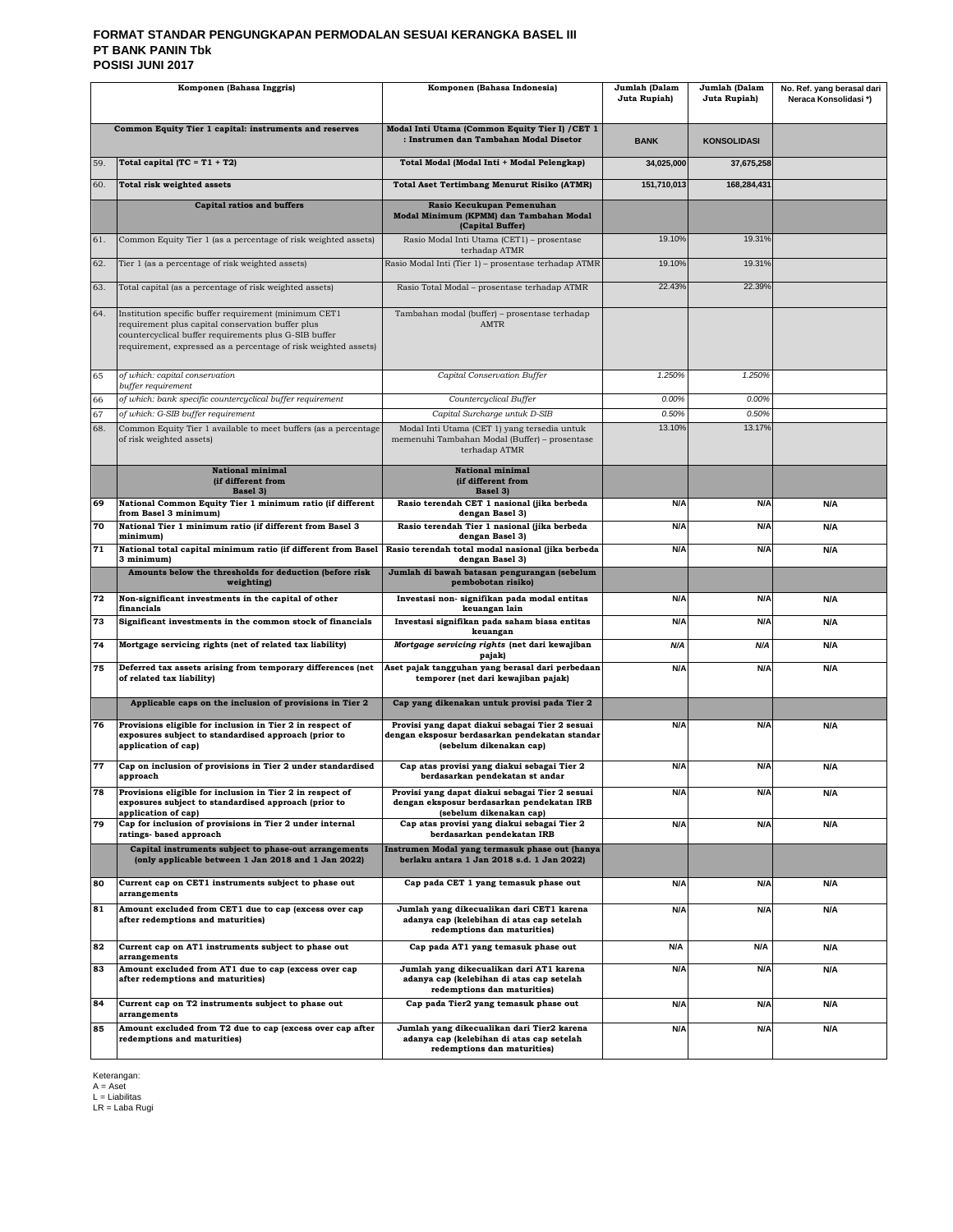#### **FORMAT STANDAR PENGUNGKAPAN PERMODALAN SESUAI KERANGKA BASEL III PT BANK PANIN Tbk POSISI JUNI 2017**

|                                                                                                                                                                                                                                               | Komponen (Bahasa Inggris)                                                                                                                | Komponen (Bahasa Indonesia)                                                                                                                     | Jumlah (Dalam<br>Juta Rupiah) | Jumlah (Dalam<br>Juta Rupiah) | No. Ref. yang berasal dari<br>Neraca Konsolidasi*) |
|-----------------------------------------------------------------------------------------------------------------------------------------------------------------------------------------------------------------------------------------------|------------------------------------------------------------------------------------------------------------------------------------------|-------------------------------------------------------------------------------------------------------------------------------------------------|-------------------------------|-------------------------------|----------------------------------------------------|
|                                                                                                                                                                                                                                               | Common Equity Tier 1 capital: instruments and reserves                                                                                   | Modal Inti Utama (Common Equity Tier I) / CET 1<br>: Instrumen dan Tambahan Modal Disetor                                                       | <b>BANK</b>                   | <b>KONSOLIDASI</b>            |                                                    |
| 59.                                                                                                                                                                                                                                           | Total capital $(TC = T1 + T2)$                                                                                                           | Total Modal (Modal Inti + Modal Pelengkap)                                                                                                      | 34,025,000                    | 37,675,258                    |                                                    |
| 60.                                                                                                                                                                                                                                           | Total risk weighted assets                                                                                                               | <b>Total Aset Tertimbang Menurut Risiko (ATMR)</b>                                                                                              | 151,710,013                   | 168,284,431                   |                                                    |
|                                                                                                                                                                                                                                               | <b>Capital ratios and buffers</b>                                                                                                        | Rasio Kecukupan Pemenuhan<br>Modal Minimum (KPMM) dan Tambahan Modal<br>(Capital Buffer)                                                        |                               |                               |                                                    |
| 61.                                                                                                                                                                                                                                           | Common Equity Tier 1 (as a percentage of risk weighted assets)                                                                           | Rasio Modal Inti Utama (CET1) - prosentase<br>terhadap ATMR                                                                                     | 19.10%                        | 19.31%                        |                                                    |
| 62.                                                                                                                                                                                                                                           | Tier 1 (as a percentage of risk weighted assets)                                                                                         | Rasio Modal Inti (Tier 1) - prosentase terhadap ATMR                                                                                            | 19.10%                        | 19.31%                        |                                                    |
| 63.                                                                                                                                                                                                                                           | Total capital (as a percentage of risk weighted assets)                                                                                  | Rasio Total Modal - prosentase terhadap ATMR                                                                                                    | 22.43%                        | 22.39%                        |                                                    |
| 64.<br>Institution specific buffer requirement (minimum CET1<br>requirement plus capital conservation buffer plus<br>countercyclical buffer requirements plus G-SIB buffer<br>requirement, expressed as a percentage of risk weighted assets) |                                                                                                                                          | Tambahan modal (buffer) - prosentase terhadap<br><b>AMTR</b>                                                                                    |                               |                               |                                                    |
| 65                                                                                                                                                                                                                                            | of which: capital conservation<br>buffer requirement                                                                                     | Capital Conservation Buffer                                                                                                                     | 1.250%                        | 1.250%                        |                                                    |
| 66                                                                                                                                                                                                                                            | of which: bank specific countercyclical buffer requirement                                                                               | Countercyclical Buffer                                                                                                                          | 0.00%                         | 0.00%                         |                                                    |
| 67<br>68.                                                                                                                                                                                                                                     | of which: G-SIB buffer requirement<br>Common Equity Tier 1 available to meet buffers (as a percentage<br>of risk weighted assets)        | Capital Surcharge untuk D-SIB<br>Modal Inti Utama (CET 1) yang tersedia untuk<br>memenuhi Tambahan Modal (Buffer) - prosentase<br>terhadap ATMR | 0.50%<br>13.10%               | 0.50%<br>13.17%               |                                                    |
|                                                                                                                                                                                                                                               | <b>National minimal</b><br>(if different from<br>Basel 3)                                                                                | National minimal<br>(if different from<br>Basel 3)                                                                                              |                               |                               |                                                    |
| 69                                                                                                                                                                                                                                            | National Common Equity Tier 1 minimum ratio (if different<br>from Basel 3 minimum)                                                       | Rasio terendah CET 1 nasional (jika berbeda<br>dengan Basel 3)                                                                                  | N/A                           | N/A                           | N/A                                                |
| 70                                                                                                                                                                                                                                            | National Tier 1 minimum ratio (if different from Basel 3<br>minimum)                                                                     | Rasio terendah Tier 1 nasional (jika berbeda<br>dengan Basel 3)                                                                                 | N/A                           | N/A                           | N/A                                                |
| 71                                                                                                                                                                                                                                            | National total capital minimum ratio (if different from Basel<br>3 minimum)                                                              | Rasio terendah total modal nasional (jika berbeda<br>dengan Basel 3)                                                                            | N/A                           | N/A                           | N/A                                                |
|                                                                                                                                                                                                                                               | Amounts below the thresholds for deduction (before risk<br>weighting)                                                                    | Jumlah di bawah batasan pengurangan (sebelum<br>pembobotan risiko)                                                                              |                               |                               |                                                    |
| 72                                                                                                                                                                                                                                            | Non-significant investments in the capital of other<br>financials                                                                        | Investasi non- signifikan pada modal entitas<br>keuangan lain                                                                                   | N/A                           | N/A                           | N/A                                                |
| 73                                                                                                                                                                                                                                            | Significant investments in the common stock of financials                                                                                | Investasi signifikan pada saham biasa entitas<br>keuangan                                                                                       | N/A                           | N/A                           | N/A                                                |
| 74                                                                                                                                                                                                                                            | Mortgage servicing rights (net of related tax liability)                                                                                 | Mortgage servicing rights (net dari kewajiban<br>pajak)                                                                                         | N/A                           | N/A                           | N/A                                                |
| 75                                                                                                                                                                                                                                            | Deferred tax assets arising from temporary differences (net<br>of related tax liability)                                                 | Aset pajak tangguhan yang berasal dari perbedaan<br>temporer (net dari kewajiban pajak)                                                         | N/A                           | N/A                           | N/A                                                |
|                                                                                                                                                                                                                                               | Applicable caps on the inclusion of provisions in Tier 2                                                                                 | Cap yang dikenakan untuk provisi pada Tier 2                                                                                                    |                               |                               |                                                    |
| 76                                                                                                                                                                                                                                            | Provisions eligible for inclusion in Tier 2 in respect of<br>exposures subject to standardised approach (prior to<br>application of cap) | Provisi yang dapat diakui sebagai Tier 2 sesuai<br>dengan eksposur berdasarkan pendekatan standar<br>(sebelum dikenakan cap)                    | N/A                           | N/A                           | N/A                                                |
| 77                                                                                                                                                                                                                                            | Cap on inclusion of provisions in Tier 2 under standardised<br>арргоасп                                                                  | Cap atas provisi yang diakui sebagai Tier 2<br>berdasarkan pendekatan st andar                                                                  | N/A                           | N/A                           | N/A                                                |
| 78                                                                                                                                                                                                                                            | Provisions eligible for inclusion in Tier 2 in respect of<br>exposures subject to standardised approach (prior to<br>application of cap) | Provisi yang dapat diakui sebagai Tier 2 sesuai<br>dengan eksposur berdasarkan pendekatan IRB<br>(sebelum dikenakan cap)                        | N/A                           | N/A                           | N/A                                                |
| 79                                                                                                                                                                                                                                            | Cap for inclusion of provisions in Tier 2 under internal<br>ratings-based approach                                                       | Cap atas provisi yang diakui sebagai Tier 2<br>berdasarkan pendekatan IRB                                                                       | N/A                           | N/A                           | N/A                                                |
|                                                                                                                                                                                                                                               | Capital instruments subject to phase-out arrangements<br>(only applicable between 1 Jan 2018 and 1 Jan 2022)                             | Instrumen Modal yang termasuk phase out (hanya<br>berlaku antara 1 Jan 2018 s.d. 1 Jan 2022)                                                    |                               |                               |                                                    |
| 80                                                                                                                                                                                                                                            | Current cap on CET1 instruments subject to phase out<br>arrangements                                                                     | Cap pada CET 1 yang temasuk phase out                                                                                                           | N/A                           | N/A                           | N/A                                                |
| 81                                                                                                                                                                                                                                            | Amount excluded from CET1 due to cap (excess over cap<br>after redemptions and maturities)                                               | Jumlah yang dikecualikan dari CET1 karena<br>adanya cap (kelebihan di atas cap setelah<br>redemptions dan maturities)                           | N/A                           | N/A                           | N/A                                                |
| 82                                                                                                                                                                                                                                            | Current cap on AT1 instruments subject to phase out<br>arrangements                                                                      | Cap pada AT1 yang temasuk phase out                                                                                                             | N/A                           | N/A                           | N/A                                                |
| 83                                                                                                                                                                                                                                            | Amount excluded from AT1 due to cap (excess over cap<br>after redemptions and maturities)                                                | Jumlah yang dikecualikan dari AT1 karena<br>adanya cap (kelebihan di atas cap setelah<br>redemptions dan maturities)                            | N/A                           | N/A                           | N/A                                                |
| 84                                                                                                                                                                                                                                            | Current cap on T2 instruments subject to phase out<br>arrangements                                                                       | Cap pada Tier2 yang temasuk phase out                                                                                                           | N/A                           | N/A                           | N/A                                                |
| 85                                                                                                                                                                                                                                            | Amount excluded from T2 due to cap (excess over cap after<br>redemptions and maturities)                                                 | Jumlah yang dikecualikan dari Tier2 karena<br>adanya cap (kelebihan di atas cap setelah<br>redemptions dan maturities)                          | N/A                           | N/A                           | N/A                                                |

Keterangan: A = Aset L = Liabilitas LR = Laba Rugi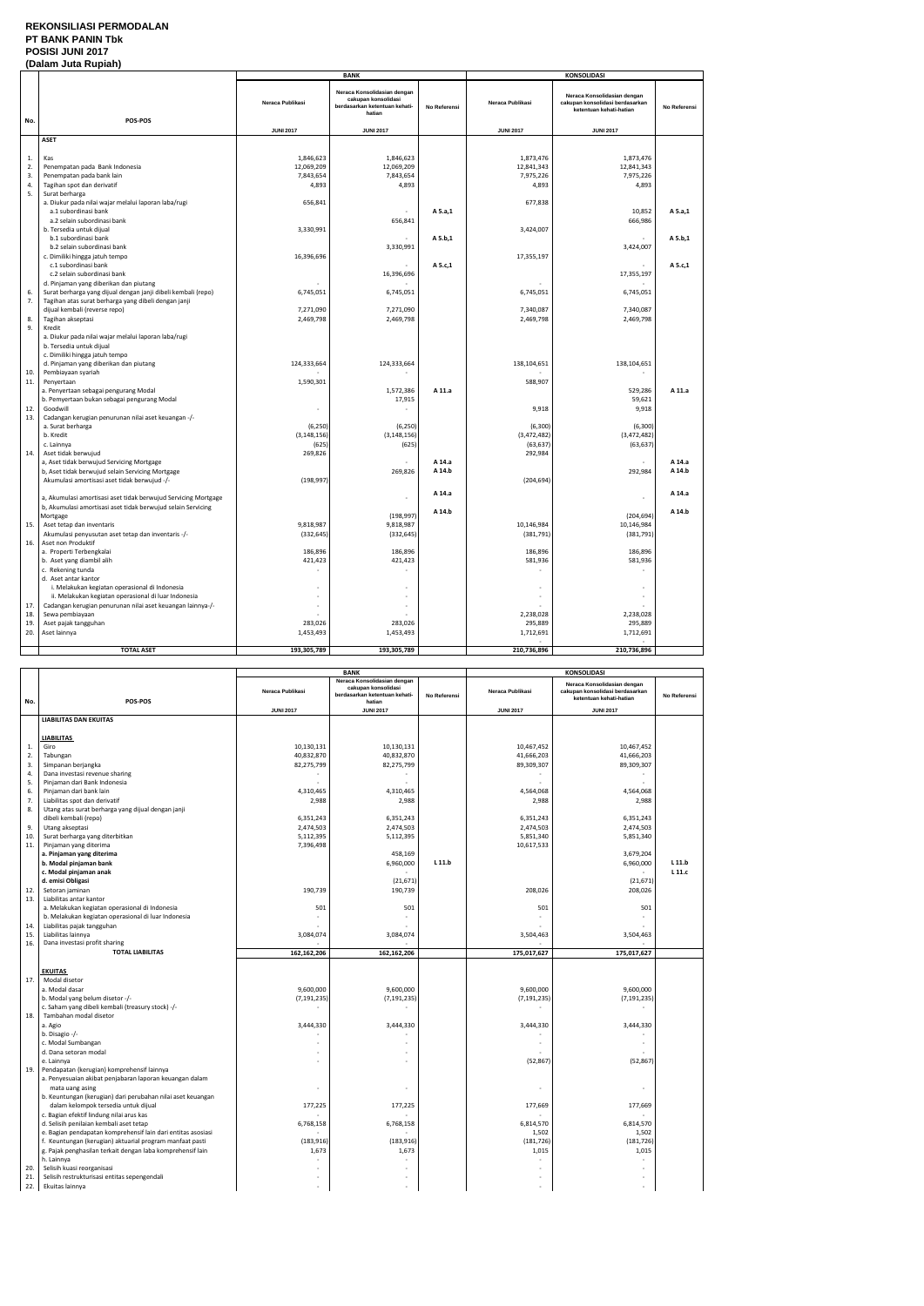### **REKONSILIASI PERMODALAN PT BANK PANIN Tbk POSISI JUNI 2017**

### **(Dalam Juta Rupiah)**

|          |                                                                                                                                |                                      | <b>BANK</b>                                                                                   |              | <b>KONSOLIDASI</b>      |                                                                                           |              |
|----------|--------------------------------------------------------------------------------------------------------------------------------|--------------------------------------|-----------------------------------------------------------------------------------------------|--------------|-------------------------|-------------------------------------------------------------------------------------------|--------------|
| No.      | POS-POS                                                                                                                        | Neraca Publikasi                     | Neraca Konsolidasian dengan<br>cakupan konsolidasi<br>berdasarkan ketentuan kehati-<br>hatian | No Referensi | Neraca Publikasi        | Neraca Konsolidasian dengan<br>cakupan konsolidasi berdasarkan<br>ketentuan kehati-hatian | No Referensi |
|          |                                                                                                                                | <b>JUNI 2017</b>                     | <b>JUNI 2017</b>                                                                              |              | <b>JUNI 2017</b>        | <b>JUNI 2017</b>                                                                          |              |
|          | <b>ASET</b>                                                                                                                    |                                      |                                                                                               |              |                         |                                                                                           |              |
| 1.<br>2. | Kas<br>Penempatan pada Bank Indonesia                                                                                          | 1,846,623<br>12,069,209<br>7,843,654 | 1,846,623<br>12,069,209                                                                       |              | 1,873,476<br>12,841,343 | 1,873,476<br>12,841,343                                                                   |              |
| 3.       | Penempatan pada bank lain                                                                                                      |                                      | 7,843,654                                                                                     |              | 7,975,226               | 7,975,226                                                                                 |              |
| 4.       | Tagihan spot dan derivatif                                                                                                     | 4,893                                | 4,893                                                                                         |              | 4,893                   | 4,893                                                                                     |              |
| 5.       | Surat berharga<br>a. Diukur pada nilai wajar melalui laporan laba/rugi<br>a.1 subordinasi bank<br>a.2 selain subordinasi bank  | 656,841                              | 656,841                                                                                       | A 5.a,1      | 677,838                 | 10,852<br>666,986                                                                         | A 5.a,1      |
|          | b. Tersedia untuk dijual                                                                                                       | 3,330,991                            |                                                                                               |              | 3,424,007               |                                                                                           |              |
|          | b.1 subordinasi bank                                                                                                           |                                      |                                                                                               | A 5.b,1      |                         |                                                                                           | A 5.b,1      |
|          | b.2 selain subordinasi bank                                                                                                    |                                      | 3,330,991                                                                                     |              |                         | 3,424,007                                                                                 |              |
|          | c. Dimiliki hingga jatuh tempo                                                                                                 | 16,396,696                           |                                                                                               |              | 17,355,197              |                                                                                           |              |
|          | c.1 subordinasi bank                                                                                                           |                                      |                                                                                               | A 5.c,1      |                         |                                                                                           | A 5.c,1      |
|          | c.2 selain subordinasi bank                                                                                                    |                                      | 16,396,696                                                                                    |              |                         | 17,355,197                                                                                |              |
|          | d. Pinjaman yang diberikan dan piutang                                                                                         |                                      |                                                                                               |              |                         |                                                                                           |              |
| 6.       | Surat berharga yang dijual dengan janji dibeli kembali (repo)                                                                  | 6,745,051                            | 6,745,051                                                                                     |              | 6,745,051               | 6,745,051                                                                                 |              |
| 7.       | Tagihan atas surat berharga yang dibeli dengan janji                                                                           |                                      |                                                                                               |              |                         |                                                                                           |              |
|          | dijual kembali (reverse repo)                                                                                                  | 7,271,090                            | 7,271,090                                                                                     |              | 7,340,087               | 7,340,087                                                                                 |              |
| 8.       | Tagihan akseptasi                                                                                                              | 2,469,798                            | 2,469,798                                                                                     |              | 2,469,798               | 2,469,798                                                                                 |              |
| 9.       | Kredit<br>a. Diukur pada nilai wajar melalui laporan laba/rugi<br>b. Tersedia untuk dijual<br>c. Dimiliki hingga jatuh tempo   |                                      |                                                                                               |              |                         |                                                                                           |              |
|          | d. Pinjaman yang diberikan dan piutang                                                                                         | 124,333,664                          | 124,333,664                                                                                   |              | 138,104,651             | 138,104,651                                                                               |              |
| 10.      | Pembiayaan syariah                                                                                                             |                                      |                                                                                               |              |                         |                                                                                           |              |
| 11.      | Penyertaan                                                                                                                     | 1,590,301                            |                                                                                               |              | 588,907                 |                                                                                           |              |
|          | a. Penyertaan sebagai pengurang Modal                                                                                          |                                      | 1,572,386                                                                                     | A 11.a       |                         | 529,286                                                                                   | A 11.a       |
|          | b. Pemyertaan bukan sebagai pengurang Modal                                                                                    |                                      | 17,915                                                                                        |              |                         | 59,621                                                                                    |              |
| 12.      | Goodwill                                                                                                                       | ÷,                                   |                                                                                               |              | 9,918                   | 9,918                                                                                     |              |
| 13.      | Cadangan kerugian penurunan nilai aset keuangan -/-                                                                            |                                      |                                                                                               |              |                         |                                                                                           |              |
|          | a. Surat berharga                                                                                                              | (6, 250)                             | (6, 250)                                                                                      |              | (6, 300)                | (6, 300)                                                                                  |              |
|          | b. Kredit                                                                                                                      | (3, 148, 156)                        | (3, 148, 156)                                                                                 |              | (3,472,482)             | (3,472,482)                                                                               |              |
|          | c. Lainnya                                                                                                                     | (625)                                | (625)                                                                                         |              | (63, 637)               | (63, 637)                                                                                 |              |
| 14.      | Aset tidak berwujud                                                                                                            | 269,826                              |                                                                                               |              | 292,984                 |                                                                                           |              |
|          | a, Aset tidak berwujud Servicing Mortgage                                                                                      |                                      |                                                                                               | A 14.a       |                         |                                                                                           | A 14.a       |
|          | b, Aset tidak berwujud selain Servicing Mortgage                                                                               |                                      | 269,826                                                                                       | A 14.b       |                         | 292,984                                                                                   | A 14.b       |
|          | Akumulasi amortisasi aset tidak berwujud -/-                                                                                   | (198, 997)                           |                                                                                               |              | (204, 694)              |                                                                                           |              |
|          |                                                                                                                                |                                      |                                                                                               | A 14.a       |                         |                                                                                           | A 14.a       |
|          | a, Akumulasi amortisasi aset tidak berwujud Servicing Mortgage<br>b, Akumulasi amortisasi aset tidak berwujud selain Servicing |                                      |                                                                                               |              |                         |                                                                                           |              |
|          | Mortgage                                                                                                                       |                                      | (198, 997)                                                                                    | A 14.b       |                         | (204, 694)                                                                                | A 14.b       |
| 15.      | Aset tetap dan inventaris                                                                                                      | 9,818,987                            | 9,818,987                                                                                     |              | 10,146,984              | 10,146,984                                                                                |              |
|          | Akumulasi penyusutan aset tetap dan inventaris -/-                                                                             | (332, 645)                           | (332, 645)                                                                                    |              | (381, 791)              | (381, 791)                                                                                |              |
| 16.      | Aset non Produktif                                                                                                             |                                      |                                                                                               |              |                         |                                                                                           |              |
|          | a. Properti Terbengkalai                                                                                                       | 186,896                              | 186,896                                                                                       |              | 186,896                 | 186,896                                                                                   |              |
|          | b. Aset yang diambil alih                                                                                                      | 421,423                              | 421,423                                                                                       |              | 581,936                 | 581,936                                                                                   |              |
|          | c. Rekening tunda                                                                                                              |                                      |                                                                                               |              |                         |                                                                                           |              |
|          | d. Aset antar kantor                                                                                                           |                                      |                                                                                               |              |                         |                                                                                           |              |
|          | i. Melakukan kegiatan operasional di Indonesia                                                                                 |                                      |                                                                                               |              |                         |                                                                                           |              |
|          | ii. Melakukan kegiatan operasional di luar Indonesia                                                                           |                                      |                                                                                               |              |                         |                                                                                           |              |
| 17.      | Cadangan kerugian penurunan nilai aset keuangan lainnya-/-                                                                     |                                      |                                                                                               |              |                         |                                                                                           |              |
| 18.      | Sewa pembiayaan                                                                                                                |                                      |                                                                                               |              | 2,238,028               | 2,238,028                                                                                 |              |
| 19.      | Aset pajak tangguhan                                                                                                           | 283,026                              | 283,026                                                                                       |              | 295,889                 | 295,889                                                                                   |              |
| 20.      | Aset lainnya                                                                                                                   | 1,453,493                            | 1,453,493                                                                                     |              | 1,712,691               | 1,712,691                                                                                 |              |
|          | <b>TOTAL ASET</b>                                                                                                              |                                      |                                                                                               |              |                         |                                                                                           |              |
|          |                                                                                                                                | 193,305,789                          | 193,305,789                                                                                   |              | 210,736,896             | 210,736,896                                                                               |              |

|     |                                                                             |                  | <b>BANK</b>                                                                                   |                     | <b>KONSOLIDASI</b> |                                                                                           |              |
|-----|-----------------------------------------------------------------------------|------------------|-----------------------------------------------------------------------------------------------|---------------------|--------------------|-------------------------------------------------------------------------------------------|--------------|
| No. | POS-POS                                                                     | Neraca Publikasi | Neraca Konsolidasian dengan<br>cakupan konsolidasi<br>berdasarkan ketentuan kehati-<br>hatian | <b>No Referensi</b> | Neraca Publikasi   | Neraca Konsolidasian dengan<br>cakupan konsolidasi berdasarkan<br>ketentuan kehati-hatian | No Referensi |
|     |                                                                             | <b>JUNI 2017</b> | <b>JUNI 2017</b>                                                                              |                     | <b>JUNI 2017</b>   | <b>JUNI 2017</b>                                                                          |              |
|     | <b>LIABILITAS DAN EKUITAS</b>                                               |                  |                                                                                               |                     |                    |                                                                                           |              |
|     |                                                                             |                  |                                                                                               |                     |                    |                                                                                           |              |
|     | <b>LIABILITAS</b>                                                           |                  |                                                                                               |                     |                    |                                                                                           |              |
| 1.  | Giro                                                                        | 10,130,131       | 10,130,131                                                                                    |                     | 10,467,452         | 10,467,452                                                                                |              |
| 2.  | Tabungan                                                                    | 40,832,870       | 40,832,870                                                                                    |                     | 41,666,203         | 41,666,203                                                                                |              |
| 3.  | Simpanan berjangka                                                          | 82,275,799       | 82,275,799                                                                                    |                     | 89,309,307         | 89,309,307                                                                                |              |
| 4.  | Dana investasi revenue sharing                                              |                  |                                                                                               |                     |                    |                                                                                           |              |
| 5.  | Pinjaman dari Bank Indonesia                                                |                  |                                                                                               |                     |                    |                                                                                           |              |
| 6.  | Pinjaman dari bank lain                                                     | 4,310,465        | 4,310,465                                                                                     |                     | 4,564,068          | 4,564,068                                                                                 |              |
| 7.  | Liabilitas spot dan derivatif                                               | 2,988            | 2,988                                                                                         |                     | 2,988              | 2,988                                                                                     |              |
| 8.  | Utang atas surat berharga yang dijual dengan janji                          |                  |                                                                                               |                     |                    |                                                                                           |              |
|     | dibeli kembali (repo)                                                       | 6,351,243        | 6,351,243                                                                                     |                     | 6,351,243          | 6,351,243                                                                                 |              |
| 9.  | Utang akseptasi                                                             | 2,474,503        | 2,474,503                                                                                     |                     | 2,474,503          | 2,474,503                                                                                 |              |
| 10. | Surat berharga yang diterbitkan                                             | 5,112,395        | 5,112,395                                                                                     |                     | 5,851,340          | 5,851,340                                                                                 |              |
| 11. | Pinjaman yang diterima                                                      | 7,396,498        |                                                                                               |                     | 10,617,533         |                                                                                           |              |
|     | a. Pinjaman yang diterima                                                   |                  | 458,169                                                                                       |                     |                    | 3,679,204                                                                                 |              |
|     | b. Modal pinjaman bank                                                      |                  | 6,960,000                                                                                     | L 11.b              |                    | 6,960,000                                                                                 | L 11.b       |
|     | c. Modal pinjaman anak                                                      |                  |                                                                                               |                     |                    |                                                                                           | $L$ 11. $c$  |
|     | d. emisi Obligasi                                                           |                  | (21, 671)                                                                                     |                     |                    | (21, 671)                                                                                 |              |
| 12. | Setoran jaminan                                                             | 190,739          | 190,739                                                                                       |                     | 208,026            | 208,026                                                                                   |              |
| 13. | Liabilitas antar kantor                                                     |                  |                                                                                               |                     |                    |                                                                                           |              |
|     | a. Melakukan kegiatan operasional di Indonesia                              | 501              | 501                                                                                           |                     | 501                | 501                                                                                       |              |
|     | b. Melakukan kegiatan operasional di luar Indonesia                         |                  |                                                                                               |                     |                    |                                                                                           |              |
| 14. | Liabilitas pajak tangguhan                                                  |                  |                                                                                               |                     |                    |                                                                                           |              |
| 15. | Liabilitas lainnya                                                          | 3,084,074        | 3,084,074                                                                                     |                     | 3,504,463          | 3,504,463                                                                                 |              |
| 16. | Dana investasi profit sharing                                               |                  |                                                                                               |                     |                    |                                                                                           |              |
|     | <b>TOTAL LIABILITAS</b>                                                     | 162,162,206      | 162,162,206                                                                                   |                     | 175,017,627        | 175,017,627                                                                               |              |
|     |                                                                             |                  |                                                                                               |                     |                    |                                                                                           |              |
|     | <b>EKUITAS</b>                                                              |                  |                                                                                               |                     |                    |                                                                                           |              |
| 17. | Modal disetor                                                               |                  |                                                                                               |                     |                    |                                                                                           |              |
|     | a. Modal dasar                                                              | 9,600,000        | 9,600,000                                                                                     |                     | 9,600,000          | 9,600,000                                                                                 |              |
|     | b. Modal yang belum disetor -/-                                             | (7, 191, 235)    | (7, 191, 235)                                                                                 |                     | (7, 191, 235)      | (7, 191, 235)                                                                             |              |
| 18. | c. Saham yang dibeli kembali (treasury stock) -/-<br>Tambahan modal disetor |                  |                                                                                               |                     |                    |                                                                                           |              |
|     |                                                                             |                  |                                                                                               |                     |                    |                                                                                           |              |
|     | a. Agio<br>b. Disagio -/-                                                   | 3,444,330        | 3,444,330                                                                                     |                     | 3,444,330          | 3,444,330                                                                                 |              |
|     |                                                                             |                  |                                                                                               |                     |                    |                                                                                           |              |
|     | c. Modal Sumbangan<br>d. Dana setoran modal                                 |                  |                                                                                               |                     |                    |                                                                                           |              |
|     | e. Lainnya                                                                  |                  |                                                                                               |                     | (52, 867)          | (52, 867)                                                                                 |              |
| 19. | Pendapatan (kerugian) komprehensif lainnya                                  |                  |                                                                                               |                     |                    |                                                                                           |              |
|     | a. Penyesuaian akibat penjabaran laporan keuangan dalam                     |                  |                                                                                               |                     |                    |                                                                                           |              |
|     | mata uang asing                                                             |                  |                                                                                               |                     |                    |                                                                                           |              |
|     | b. Keuntungan (kerugian) dari perubahan nilai aset keuangan                 |                  |                                                                                               |                     |                    |                                                                                           |              |
|     | dalam kelompok tersedia untuk dijual                                        | 177,225          | 177,225                                                                                       |                     | 177,669            | 177,669                                                                                   |              |
|     | c. Bagian efektif lindung nilai arus kas                                    |                  |                                                                                               |                     |                    |                                                                                           |              |
|     | d. Selisih penilaian kembali aset tetap                                     | 6,768,158        | 6,768,158                                                                                     |                     | 6,814,570          | 6,814,570                                                                                 |              |
|     | e. Bagian pendapatan komprehensif lain dari entitas asosiasi                |                  |                                                                                               |                     | 1,502              | 1,502                                                                                     |              |
|     | f. Keuntungan (kerugian) aktuarial program manfaat pasti                    | (183, 916)       | (183, 916)                                                                                    |                     | (181, 726)         | (181, 726)                                                                                |              |
|     | g. Pajak penghasilan terkait dengan laba komprehensif lain                  | 1,673            | 1,673                                                                                         |                     | 1,015              | 1,015                                                                                     |              |
|     | h. Lainnya                                                                  |                  |                                                                                               |                     |                    |                                                                                           |              |
| 20. | Selisih kuasi reorganisasi                                                  |                  |                                                                                               |                     |                    |                                                                                           |              |
| 21. | Selisih restrukturisasi entitas sepengendali                                |                  |                                                                                               |                     |                    |                                                                                           |              |
| 22. | Ekuitas lainnya                                                             |                  |                                                                                               |                     |                    |                                                                                           |              |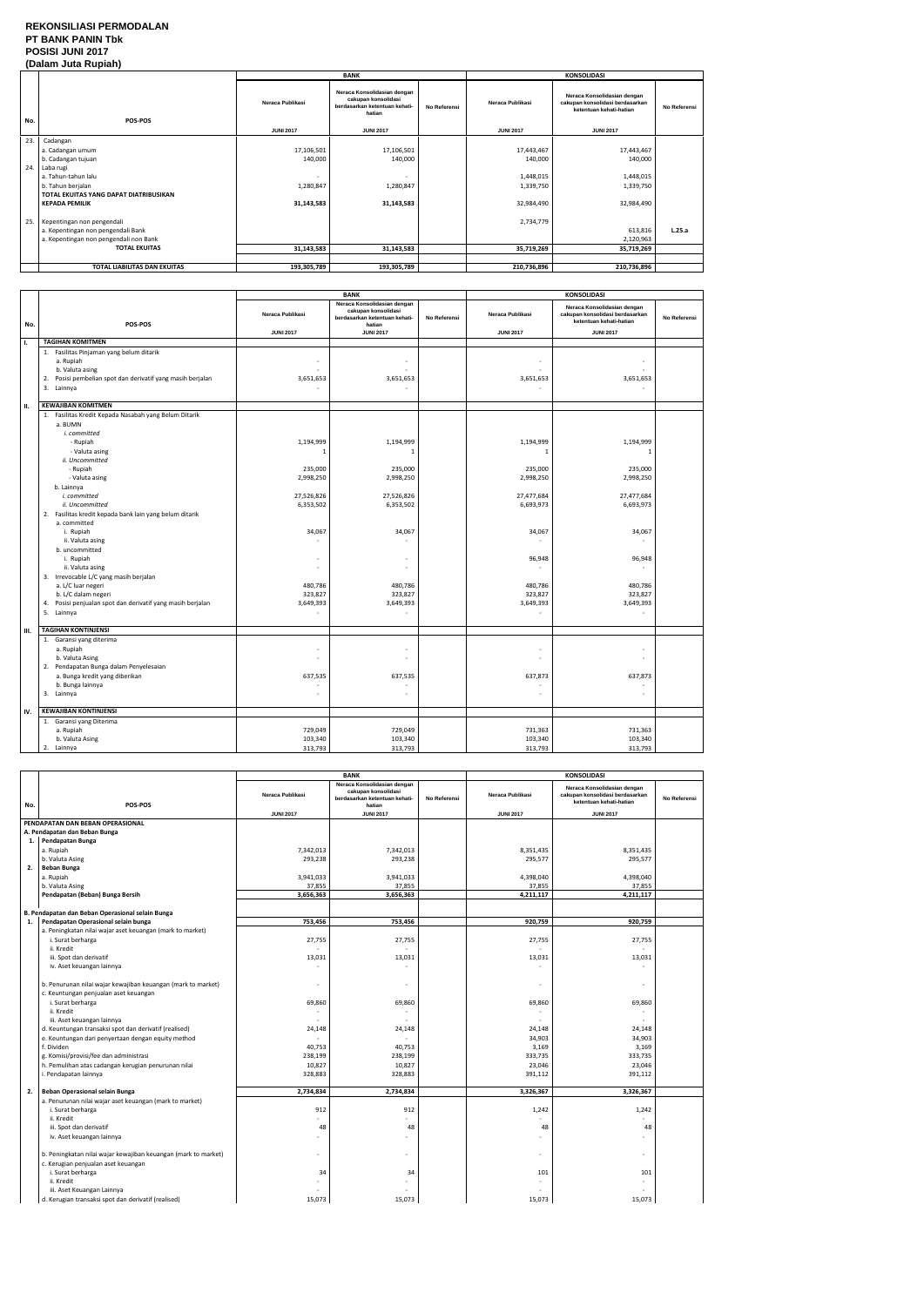### **REKONSILIASI PERMODALAN PT BANK PANIN Tbk POSISI JUNI 2017 (Dalam Juta Rupiah)**

|     | (Dalam Jula Ruplan)                    |                  |                                                                                               |              |                  |                                                                                           |              |  |
|-----|----------------------------------------|------------------|-----------------------------------------------------------------------------------------------|--------------|------------------|-------------------------------------------------------------------------------------------|--------------|--|
|     |                                        |                  | <b>BANK</b>                                                                                   |              |                  | <b>KONSOLIDASI</b>                                                                        |              |  |
| No. | <b>POS-POS</b>                         | Neraca Publikasi | Neraca Konsolidasian dengan<br>cakupan konsolidasi<br>berdasarkan ketentuan kehati-<br>hatian | No Referensi | Neraca Publikasi | Neraca Konsolidasian dengan<br>cakupan konsolidasi berdasarkan<br>ketentuan kehati-hatian | No Referensi |  |
|     |                                        | <b>JUNI 2017</b> | <b>JUNI 2017</b>                                                                              |              | <b>JUNI 2017</b> | <b>JUNI 2017</b>                                                                          |              |  |
| 23. | Cadangan                               |                  |                                                                                               |              |                  |                                                                                           |              |  |
|     | a. Cadangan umum                       | 17,106,501       | 17,106,501                                                                                    |              | 17,443,467       | 17,443,467                                                                                |              |  |
|     | b. Cadangan tujuan                     | 140,000          | 140,000                                                                                       |              | 140,000          | 140,000                                                                                   |              |  |
| 24. | Laba rugi                              |                  |                                                                                               |              |                  |                                                                                           |              |  |
|     | a. Tahun-tahun lalu                    |                  |                                                                                               |              | 1,448,015        | 1,448,015                                                                                 |              |  |
|     | b. Tahun berjalan                      | 1,280,847        | 1,280,847                                                                                     |              | 1,339,750        | 1,339,750                                                                                 |              |  |
|     | TOTAL EKUITAS YANG DAPAT DIATRIBUSIKAN |                  |                                                                                               |              |                  |                                                                                           |              |  |
|     | <b>KEPADA PEMILIK</b>                  | 31,143,583       | 31,143,583                                                                                    |              | 32,984,490       | 32,984,490                                                                                |              |  |
|     |                                        |                  |                                                                                               |              |                  |                                                                                           |              |  |
|     | 25. Kepentingan non pengendali         |                  |                                                                                               |              | 2,734,779        |                                                                                           |              |  |
|     | a. Kepentingan non pengendali Bank     |                  |                                                                                               |              |                  | 613,816                                                                                   | L.25.a       |  |
|     | a. Kepentingan non pengendali non Bank |                  |                                                                                               |              |                  | 2,120,963                                                                                 |              |  |
|     | <b>TOTAL EKUITAS</b>                   | 31,143,583       | 31,143,583                                                                                    |              | 35,719,269       | 35,719,269                                                                                |              |  |
|     |                                        |                  |                                                                                               |              |                  |                                                                                           |              |  |
|     | TOTAL LIABILITAS DAN EKUITAS           | 193,305,789      | 193,305,789                                                                                   |              | 210,736,896      | 210,736,896                                                                               |              |  |

|     |                                                                                                                                                                                                                                                                                                                                                                                                                                                                                                                                         |                                                                                                                           | <b>BANK</b>                                                                                                                             |              | <b>KONSOLIDASI</b>                                                                                                                  |                                                                                                                     |              |
|-----|-----------------------------------------------------------------------------------------------------------------------------------------------------------------------------------------------------------------------------------------------------------------------------------------------------------------------------------------------------------------------------------------------------------------------------------------------------------------------------------------------------------------------------------------|---------------------------------------------------------------------------------------------------------------------------|-----------------------------------------------------------------------------------------------------------------------------------------|--------------|-------------------------------------------------------------------------------------------------------------------------------------|---------------------------------------------------------------------------------------------------------------------|--------------|
| No. | POS-POS                                                                                                                                                                                                                                                                                                                                                                                                                                                                                                                                 | Neraca Publikasi                                                                                                          | Neraca Konsolidasian dengan<br>cakupan konsolidasi<br>berdasarkan ketentuan kehati-<br>hatian                                           | No Referensi | Neraca Publikasi                                                                                                                    | Neraca Konsolidasian dengan<br>cakupan konsolidasi berdasarkan<br>ketentuan kehati-hatian                           | No Referensi |
|     |                                                                                                                                                                                                                                                                                                                                                                                                                                                                                                                                         | <b>JUNI 2017</b>                                                                                                          | <b>JUNI 2017</b>                                                                                                                        |              | <b>JUNI 2017</b>                                                                                                                    | <b>JUNI 2017</b>                                                                                                    |              |
| Τ.  | <b>TAGIHAN KOMITMEN</b>                                                                                                                                                                                                                                                                                                                                                                                                                                                                                                                 |                                                                                                                           |                                                                                                                                         |              |                                                                                                                                     |                                                                                                                     |              |
|     | 1. Fasilitas Pinjaman yang belum ditarik<br>a. Rupiah<br>b. Valuta asing<br>2. Posisi pembelian spot dan derivatif yang masih berjalan<br>3. Lainnya                                                                                                                                                                                                                                                                                                                                                                                    | ٠<br>3,651,653                                                                                                            | $\overline{\phantom{a}}$<br>3,651,653                                                                                                   |              | 3,651,653                                                                                                                           | 3,651,653                                                                                                           |              |
| П.  | <b>KEWAJIBAN KOMITMEN</b>                                                                                                                                                                                                                                                                                                                                                                                                                                                                                                               |                                                                                                                           |                                                                                                                                         |              |                                                                                                                                     |                                                                                                                     |              |
|     | 1. Fasilitas Kredit Kepada Nasabah yang Belum Ditarik<br>a. BUMN<br>i. committed<br>- Rupiah<br>- Valuta asing<br>ii. Uncommitted<br>- Rupiah<br>- Valuta asing<br>b. Lainnya<br>i. committed<br>ii. Uncommitted<br>2. Fasilitas kredit kepada bank lain yang belum ditarik<br>a. committed<br>i. Rupiah<br>ii. Valuta asing<br>b. uncommitted<br>i. Rupiah<br>ii. Valuta asing<br>3. Irrevocable L/C yang masih berjalan<br>a. L/C luar negeri<br>b. L/C dalam negeri<br>Posisi penjualan spot dan derivatif yang masih berjalan<br>4. | 1,194,999<br>$\mathbf{1}$<br>235,000<br>2,998,250<br>27,526,826<br>6,353,502<br>34,067<br>480,786<br>323,827<br>3,649,393 | 1,194,999<br>-1<br>235,000<br>2,998,250<br>27,526,826<br>6,353,502<br>34,067<br>$\overline{a}$<br>÷,<br>480,786<br>323,827<br>3,649,393 |              | 1,194,999<br>$\mathbf{1}$<br>235,000<br>2,998,250<br>27,477,684<br>6,693,973<br>34,067<br>96,948<br>480,786<br>323,827<br>3,649,393 | 1,194,999<br>235,000<br>2,998,250<br>27,477,684<br>6,693,973<br>34,067<br>96,948<br>480,786<br>323,827<br>3,649,393 |              |
|     | 5. Lainnya                                                                                                                                                                                                                                                                                                                                                                                                                                                                                                                              |                                                                                                                           | $\sim$                                                                                                                                  |              | ÷                                                                                                                                   | $\omega$                                                                                                            |              |
| Ш.  | <b>TAGIHAN KONTINJENSI</b>                                                                                                                                                                                                                                                                                                                                                                                                                                                                                                              |                                                                                                                           |                                                                                                                                         |              |                                                                                                                                     |                                                                                                                     |              |
|     | 1. Garansi yang diterima<br>a. Rupiah<br>b. Valuta Asing<br>2. Pendapatan Bunga dalam Penyelesaian<br>a. Bunga kredit yang diberikan<br>b. Bunga lainnya<br>3. Lainnya                                                                                                                                                                                                                                                                                                                                                                  | ٠<br>÷,<br>637,535<br>٠                                                                                                   | $\sim$<br>÷,<br>637,535<br>$\sim$                                                                                                       |              | 637,873                                                                                                                             | $\overline{a}$<br>ä,<br>637,873<br>÷<br>$\overline{a}$                                                              |              |
|     |                                                                                                                                                                                                                                                                                                                                                                                                                                                                                                                                         |                                                                                                                           |                                                                                                                                         |              |                                                                                                                                     |                                                                                                                     |              |
| IV. | <b>KEWAJIBAN KONTINJENSI</b>                                                                                                                                                                                                                                                                                                                                                                                                                                                                                                            |                                                                                                                           |                                                                                                                                         |              |                                                                                                                                     |                                                                                                                     |              |
|     | 1. Garansi yang Diterima<br>a. Rupiah<br>b. Valuta Asing<br>2. Lainnya                                                                                                                                                                                                                                                                                                                                                                                                                                                                  | 729,049<br>103,340<br>313,793                                                                                             | 729,049<br>103,340<br>313,793                                                                                                           |              | 731,363<br>103,340<br>313,793                                                                                                       | 731,363<br>103,340<br>313,793                                                                                       |              |

|     |                                                                | <b>BANK</b>              |                                                                                               | <b>KONSOLIDASI</b> |                  |                                                                                           |              |
|-----|----------------------------------------------------------------|--------------------------|-----------------------------------------------------------------------------------------------|--------------------|------------------|-------------------------------------------------------------------------------------------|--------------|
| No. | POS-POS                                                        | Neraca Publikasi         | Neraca Konsolidasian dengan<br>cakupan konsolidasi<br>berdasarkan ketentuan kehati-<br>hatian | No Referensi       | Neraca Publikasi | Neraca Konsolidasian dengan<br>cakupan konsolidasi berdasarkan<br>ketentuan kehati-hatian | No Referensi |
|     |                                                                | <b>JUNI 2017</b>         | <b>JUNI 2017</b>                                                                              |                    | <b>JUNI 2017</b> | <b>JUNI 2017</b>                                                                          |              |
|     | PENDAPATAN DAN BEBAN OPERASIONAL                               |                          |                                                                                               |                    |                  |                                                                                           |              |
|     | A. Pendapatan dan Beban Bunga                                  |                          |                                                                                               |                    |                  |                                                                                           |              |
| 1.  | Pendapatan Bunga                                               |                          |                                                                                               |                    |                  |                                                                                           |              |
|     | a. Rupiah                                                      | 7,342,013                | 7,342,013                                                                                     |                    | 8,351,435        | 8,351,435                                                                                 |              |
|     | b. Valuta Asing                                                | 293,238                  | 293,238                                                                                       |                    | 295,577          | 295,577                                                                                   |              |
| 2.  | <b>Beban Bunga</b>                                             |                          |                                                                                               |                    |                  |                                                                                           |              |
|     | a. Rupiah                                                      | 3,941,033                | 3,941,033                                                                                     |                    | 4,398,040        | 4,398,040                                                                                 |              |
|     | b. Valuta Asing                                                | 37,855                   | 37,855                                                                                        |                    | 37,855           | 37,855                                                                                    |              |
|     | Pendapatan (Beban) Bunga Bersih                                | 3,656,363                | 3,656,363                                                                                     |                    | 4,211,117        | 4,211,117                                                                                 |              |
|     |                                                                |                          |                                                                                               |                    |                  |                                                                                           |              |
|     | B. Pendapatan dan Beban Operasional selain Bunga               |                          |                                                                                               |                    |                  |                                                                                           |              |
| 1.  | Pendapatan Operasional selain bunga                            | 753,456                  | 753,456                                                                                       |                    | 920,759          | 920,759                                                                                   |              |
|     | a. Peningkatan nilai wajar aset keuangan (mark to market)      |                          |                                                                                               |                    |                  |                                                                                           |              |
|     | i. Surat berharga                                              | 27,755                   | 27,755                                                                                        |                    | 27,755           | 27,755                                                                                    |              |
|     | ii. Kredit                                                     |                          |                                                                                               |                    |                  |                                                                                           |              |
|     | iii. Spot dan derivatif                                        | 13,031                   | 13,031                                                                                        |                    | 13,031           | 13,031                                                                                    |              |
|     | iv. Aset keuangan lainnya                                      |                          |                                                                                               |                    |                  |                                                                                           |              |
|     |                                                                |                          |                                                                                               |                    |                  |                                                                                           |              |
|     | b. Penurunan nilai wajar kewajiban keuangan (mark to market)   | $\overline{\phantom{a}}$ | ÷,                                                                                            |                    |                  |                                                                                           |              |
|     | c. Keuntungan penjualan aset keuangan                          |                          |                                                                                               |                    |                  |                                                                                           |              |
|     | i. Surat berharga                                              | 69,860                   | 69,860                                                                                        |                    | 69,860           | 69,860                                                                                    |              |
|     | ii. Kredit                                                     |                          |                                                                                               |                    |                  |                                                                                           |              |
|     | iii. Aset keuangan lainnya                                     |                          |                                                                                               |                    |                  |                                                                                           |              |
|     | d. Keuntungan transaksi spot dan derivatif (realised)          | 24,148                   | 24,148                                                                                        |                    | 24,148           | 24,148                                                                                    |              |
|     | e. Keuntungan dari penyertaan dengan equity method             |                          |                                                                                               |                    | 34,903           | 34,903                                                                                    |              |
|     | f. Dividen                                                     | 40,753                   | 40,753                                                                                        |                    | 3,169            | 3,169                                                                                     |              |
|     | g. Komisi/provisi/fee dan administrasi                         | 238,199                  | 238,199                                                                                       |                    | 333,735          | 333,735                                                                                   |              |
|     | h. Pemulihan atas cadangan kerugian penurunan nilai            | 10,827                   | 10,827                                                                                        |                    | 23,046           | 23,046                                                                                    |              |
|     | i. Pendapatan lainnya                                          | 328,883                  | 328,883                                                                                       |                    | 391,112          | 391,112                                                                                   |              |
|     |                                                                |                          |                                                                                               |                    |                  |                                                                                           |              |
| 2.  | Beban Operasional selain Bunga                                 | 2,734,834                | 2,734,834                                                                                     |                    | 3,326,367        | 3,326,367                                                                                 |              |
|     | a. Penurunan nilai wajar aset keuangan (mark to market)        |                          |                                                                                               |                    |                  |                                                                                           |              |
|     | i. Surat berharga                                              | 912                      | 912                                                                                           |                    | 1,242            | 1,242                                                                                     |              |
|     | ii. Kredit                                                     |                          | ÷                                                                                             |                    |                  | ÷                                                                                         |              |
|     | iii. Spot dan derivatif                                        | 48                       | 48                                                                                            |                    | 48               | 48                                                                                        |              |
|     | iv. Aset keuangan lainnya                                      |                          | $\sim$                                                                                        |                    |                  |                                                                                           |              |
|     | b. Peningkatan nilai wajar kewajiban keuangan (mark to market) |                          | $\overline{\phantom{a}}$                                                                      |                    |                  | $\sim$                                                                                    |              |
|     | c. Kerugian penjualan aset keuangan                            |                          |                                                                                               |                    |                  |                                                                                           |              |
|     | i. Surat berharga                                              | 34                       | 34                                                                                            |                    | 101              | 101                                                                                       |              |
|     | ii. Kredit                                                     |                          |                                                                                               |                    |                  |                                                                                           |              |
|     | iii. Aset Keuangan Lainnya                                     |                          |                                                                                               |                    |                  |                                                                                           |              |
|     | d. Kerugian transaksi spot dan derivatif (realised)            | 15,073                   | 15,073                                                                                        |                    | 15,073           | 15,073                                                                                    |              |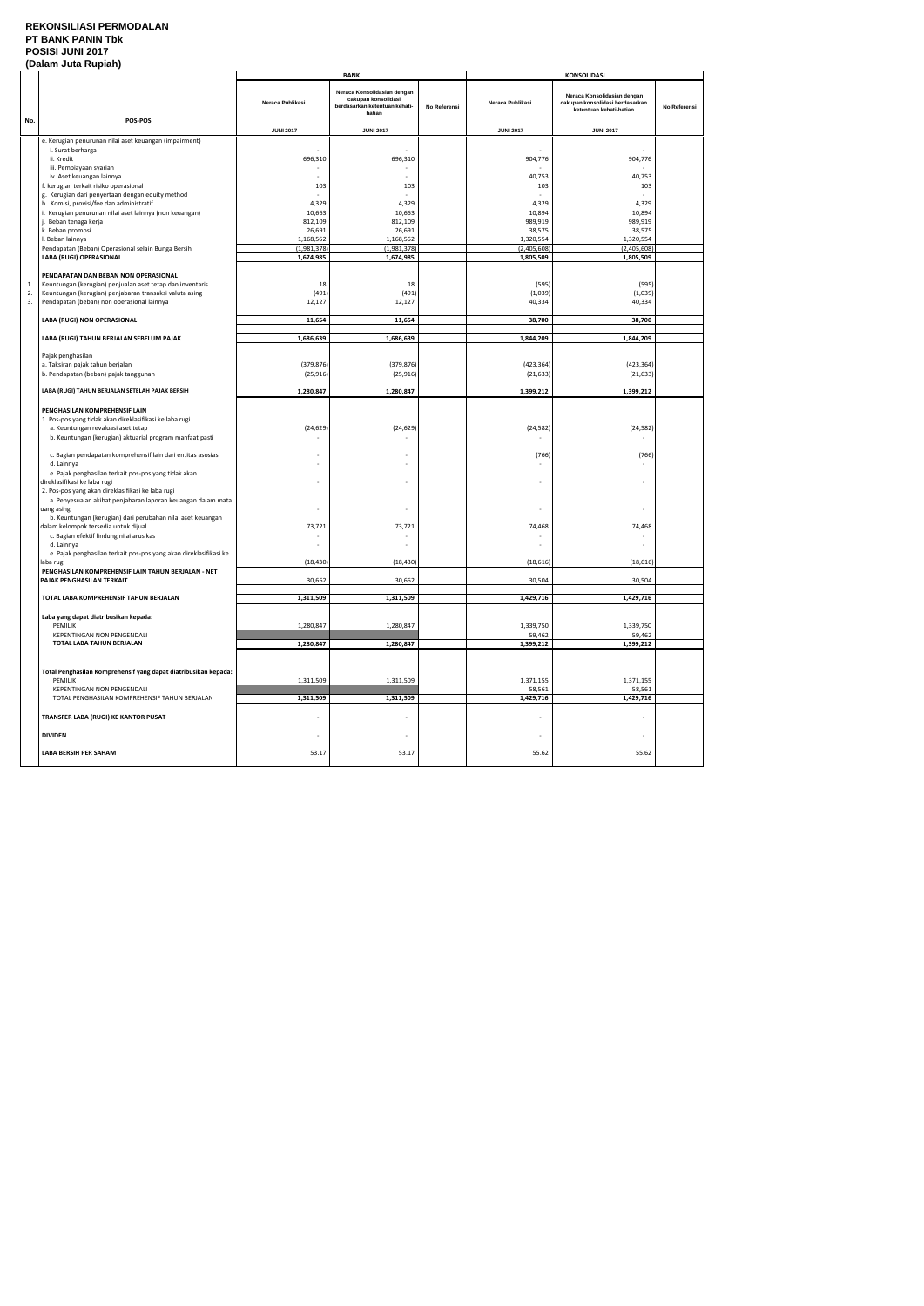### **REKONSILIASI PERMODALAN PT BANK PANIN Tbk POSISI JUNI 2017**

| (Dalam Juta Rupiah) |                                                                                                     |                          |                                                                                               |              |                          |                                                                                           |              |
|---------------------|-----------------------------------------------------------------------------------------------------|--------------------------|-----------------------------------------------------------------------------------------------|--------------|--------------------------|-------------------------------------------------------------------------------------------|--------------|
|                     |                                                                                                     |                          | <b>BANK</b>                                                                                   |              |                          | <b>KONSOLIDASI</b>                                                                        |              |
| No.                 | POS-POS                                                                                             | Neraca Publikasi         | Neraca Konsolidasian dengan<br>cakupan konsolidasi<br>berdasarkan ketentuan kehati-<br>hatian | No Referensi | Neraca Publikasi         | Neraca Konsolidasian dengan<br>cakupan konsolidasi berdasarkan<br>ketentuan kehati-hatian | No Referensi |
|                     |                                                                                                     | <b>JUNI 2017</b>         | <b>JUNI 2017</b>                                                                              |              | <b>JUNI 2017</b>         | <b>JUNI 2017</b>                                                                          |              |
|                     | e. Kerugian penurunan nilai aset keuangan (impairment)                                              |                          |                                                                                               |              |                          |                                                                                           |              |
|                     | i. Surat berharga                                                                                   |                          | $\sim$                                                                                        |              |                          |                                                                                           |              |
|                     | ii. Kredit                                                                                          | 696,310                  | 696,310                                                                                       |              | 904,776                  | 904,776                                                                                   |              |
|                     | iii. Pembiayaan syariah                                                                             |                          | $\sim$                                                                                        |              |                          |                                                                                           |              |
|                     | iv. Aset keuangan lainnya                                                                           |                          | $\sim$                                                                                        |              | 40,753                   | 40,753                                                                                    |              |
|                     | f. kerugian terkait risiko operasional<br>g. Kerugian dari penyertaan dengan equity method          | 103                      | 103                                                                                           |              | 103                      | 103                                                                                       |              |
|                     | h. Komisi, provisi/fee dan administratif                                                            | 4,329                    | 4,329                                                                                         |              | 4,329                    | 4,329                                                                                     |              |
|                     | i. Kerugian penurunan nilai aset lainnya (non keuangan)                                             | 10,663                   | 10,663                                                                                        |              | 10,894                   | 10,894                                                                                    |              |
|                     | j. Beban tenaga kerja                                                                               | 812,109                  | 812,109                                                                                       |              | 989,919                  | 989,919                                                                                   |              |
|                     | k. Beban promosi                                                                                    | 26,691                   | 26,691                                                                                        |              | 38,575                   | 38,575                                                                                    |              |
|                     | I. Beban lainnya<br>Pendapatan (Beban) Operasional selain Bunga Bersih                              | 1,168,562<br>(1,981,378) | 1,168,562<br>(1,981,378)                                                                      |              | 1,320,554<br>(2,405,608) | 1,320,554<br>(2,405,608)                                                                  |              |
|                     | LABA (RUGI) OPERASIONAL                                                                             | 1,674,985                | 1,674,985                                                                                     |              | 1,805,509                | 1,805,509                                                                                 |              |
|                     |                                                                                                     |                          |                                                                                               |              |                          |                                                                                           |              |
|                     | PENDAPATAN DAN BEBAN NON OPERASIONAL                                                                |                          |                                                                                               |              |                          |                                                                                           |              |
| 1.                  | Keuntungan (kerugian) penjualan aset tetap dan inventaris                                           | 18                       | 18                                                                                            |              | (595)                    | (595)                                                                                     |              |
| 2.                  | Keuntungan (kerugian) penjabaran transaksi valuta asing                                             | (491)                    | (491)                                                                                         |              | (1,039)                  | (1,039)                                                                                   |              |
| 3.                  | Pendapatan (beban) non operasional lainnya                                                          | 12,127                   | 12,127                                                                                        |              | 40,334                   | 40,334                                                                                    |              |
|                     | LABA (RUGI) NON OPERASIONAL                                                                         | 11,654                   | 11,654                                                                                        |              | 38,700                   | 38,700                                                                                    |              |
|                     |                                                                                                     |                          |                                                                                               |              |                          |                                                                                           |              |
|                     | LABA (RUGI) TAHUN BERJALAN SEBELUM PAJAK                                                            | 1,686,639                | 1,686,639                                                                                     |              | 1,844,209                | 1,844,209                                                                                 |              |
|                     |                                                                                                     |                          |                                                                                               |              |                          |                                                                                           |              |
|                     | Pajak penghasilan<br>a. Taksiran pajak tahun berjalan                                               | (379, 876)               | (379, 876)                                                                                    |              | (423, 364)               | (423, 364)                                                                                |              |
|                     | b. Pendapatan (beban) pajak tangguhan                                                               | (25, 916)                | (25, 916)                                                                                     |              | (21, 633)                | (21, 633)                                                                                 |              |
|                     |                                                                                                     |                          |                                                                                               |              |                          |                                                                                           |              |
|                     | LABA (RUGI) TAHUN BERJALAN SETELAH PAJAK BERSIH                                                     | 1,280,847                | 1,280,847                                                                                     |              | 1,399,212                | 1,399,212                                                                                 |              |
|                     |                                                                                                     |                          |                                                                                               |              |                          |                                                                                           |              |
|                     | PENGHASILAN KOMPREHENSIF LAIN<br>1. Pos-pos yang tidak akan direklasifikasi ke laba rugi            |                          |                                                                                               |              |                          |                                                                                           |              |
|                     | a. Keuntungan revaluasi aset tetap                                                                  | (24, 629)                | (24, 629)                                                                                     |              | (24, 582)                | (24, 582)                                                                                 |              |
|                     | b. Keuntungan (kerugian) aktuarial program manfaat pasti                                            |                          |                                                                                               |              |                          |                                                                                           |              |
|                     |                                                                                                     |                          |                                                                                               |              |                          |                                                                                           |              |
|                     | c. Bagian pendapatan komprehensif lain dari entitas asosiasi                                        |                          |                                                                                               |              | (766)                    | (766)                                                                                     |              |
|                     | d. Lainnya<br>e. Pajak penghasilan terkait pos-pos yang tidak akan                                  | $\overline{\phantom{a}}$ | $\overline{a}$                                                                                |              |                          |                                                                                           |              |
|                     | direklasifikasi ke laba rugi                                                                        | ٠                        | ٠                                                                                             |              |                          | $\overline{\phantom{a}}$                                                                  |              |
|                     | 2. Pos-pos yang akan direklasifikasi ke laba rugi                                                   |                          |                                                                                               |              |                          |                                                                                           |              |
|                     | a. Penyesuaian akibat penjabaran laporan keuangan dalam mata                                        |                          |                                                                                               |              |                          |                                                                                           |              |
|                     | uang asing                                                                                          |                          |                                                                                               |              |                          |                                                                                           |              |
|                     | b. Keuntungan (kerugian) dari perubahan nilai aset keuangan<br>dalam kelompok tersedia untuk dijual |                          |                                                                                               |              |                          |                                                                                           |              |
|                     | c. Bagian efektif lindung nilai arus kas                                                            | 73,721                   | 73,721                                                                                        |              | 74,468                   | 74,468                                                                                    |              |
|                     | d. Lainnya                                                                                          |                          |                                                                                               |              |                          |                                                                                           |              |
|                     | e. Pajak penghasilan terkait pos-pos yang akan direklasifikasi ke                                   |                          |                                                                                               |              |                          |                                                                                           |              |
|                     | laba rugi                                                                                           | (18, 430)                | (18, 430)                                                                                     |              | (18, 616)                | (18, 616)                                                                                 |              |
|                     | PENGHASILAN KOMPREHENSIF LAIN TAHUN BERJALAN - NET<br>PAJAK PENGHASILAN TERKAIT                     | 30,662                   | 30,662                                                                                        |              | 30,504                   | 30,504                                                                                    |              |
|                     |                                                                                                     |                          |                                                                                               |              |                          |                                                                                           |              |
|                     | TOTAL LABA KOMPREHENSIF TAHUN BERJALAN                                                              | 1,311,509                | 1,311,509                                                                                     |              | 1,429,716                | 1,429,716                                                                                 |              |
|                     |                                                                                                     |                          |                                                                                               |              |                          |                                                                                           |              |
|                     | Laba yang dapat diatribusikan kepada:                                                               |                          |                                                                                               |              |                          |                                                                                           |              |
|                     | PEMILIK                                                                                             | 1,280,847                | 1,280,847                                                                                     |              | 1,339,750                | 1,339,750                                                                                 |              |
|                     | KEPENTINGAN NON PENGENDALI<br>TOTAL LABA TAHUN BERJALAN                                             | 1,280,847                | 1,280,847                                                                                     |              | 59,462<br>1,399,212      | 59,462<br>1,399,212                                                                       |              |
|                     |                                                                                                     |                          |                                                                                               |              |                          |                                                                                           |              |
|                     |                                                                                                     |                          |                                                                                               |              |                          |                                                                                           |              |
|                     | Total Penghasilan Komprehensif yang dapat diatribusikan kepada:                                     |                          |                                                                                               |              |                          |                                                                                           |              |
|                     | PEMILIK                                                                                             | 1,311,509                | 1,311,509                                                                                     |              | 1,371,155                | 1,371,155                                                                                 |              |
|                     | <b>KEPENTINGAN NON PENGENDALI</b><br>TOTAL PENGHASILAN KOMPREHENSIF TAHUN BERJALAN                  | 1,311,509                | 1,311,509                                                                                     |              | 58,561<br>1,429,716      | 58,561<br>1,429,716                                                                       |              |
|                     |                                                                                                     |                          |                                                                                               |              |                          |                                                                                           |              |
|                     | TRANSFER LABA (RUGI) KE KANTOR PUSAT                                                                | ٠                        | $\sim$                                                                                        |              |                          | ÷,                                                                                        |              |
|                     |                                                                                                     |                          |                                                                                               |              |                          |                                                                                           |              |
|                     | <b>DIVIDEN</b>                                                                                      | $\overline{\phantom{a}}$ | $\overline{\phantom{a}}$                                                                      |              |                          | ä,                                                                                        |              |
|                     | LABA BERSIH PER SAHAM                                                                               | 53.17                    | 53.17                                                                                         |              | 55.62                    | 55.62                                                                                     |              |
|                     |                                                                                                     |                          |                                                                                               |              |                          |                                                                                           |              |
|                     |                                                                                                     |                          |                                                                                               |              |                          |                                                                                           |              |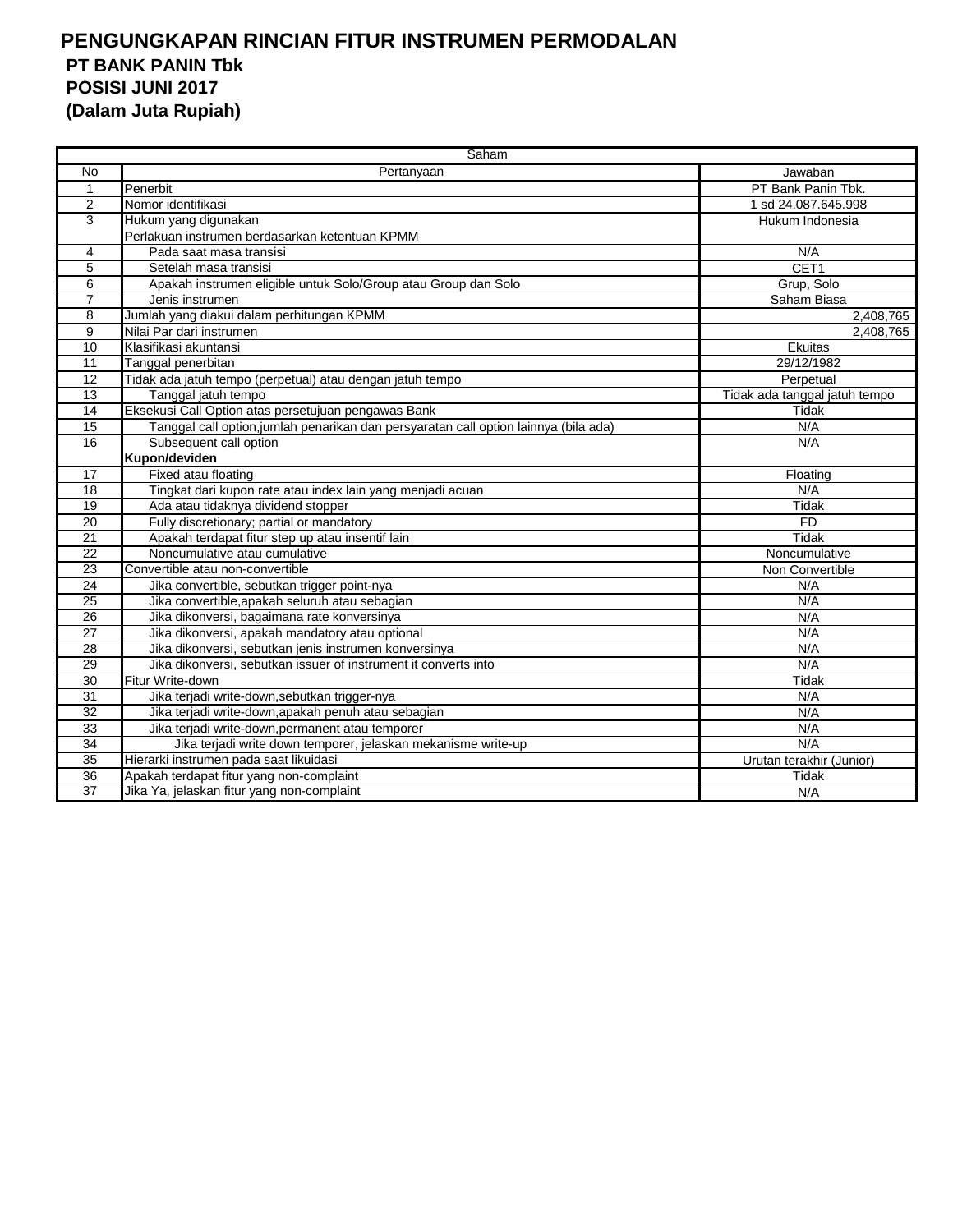|                 | Saham                                                                                |                               |  |  |  |
|-----------------|--------------------------------------------------------------------------------------|-------------------------------|--|--|--|
| No              | Pertanyaan                                                                           | Jawaban                       |  |  |  |
| $\mathbf 1$     | Penerbit                                                                             | PT Bank Panin Tbk.            |  |  |  |
| 2               | Nomor identifikasi                                                                   | 1 sd 24.087.645.998           |  |  |  |
| 3               | Hukum yang digunakan                                                                 | Hukum Indonesia               |  |  |  |
|                 | Perlakuan instrumen berdasarkan ketentuan KPMM                                       |                               |  |  |  |
| 4               | Pada saat masa transisi                                                              | N/A                           |  |  |  |
| 5               | Setelah masa transisi                                                                | CET1                          |  |  |  |
| 6               | Apakah instrumen eligible untuk Solo/Group atau Group dan Solo                       | Grup, Solo                    |  |  |  |
| $\overline{7}$  | Jenis instrumen                                                                      | Saham Biasa                   |  |  |  |
| 8               | Jumlah yang diakui dalam perhitungan KPMM                                            | 2,408,765                     |  |  |  |
| 9               | Nilai Par dari instrumen                                                             | 2,408,765                     |  |  |  |
| 10              | Klasifikasi akuntansi                                                                | Ekuitas                       |  |  |  |
| $\overline{11}$ | Tanggal penerbitan                                                                   | 29/12/1982                    |  |  |  |
| 12              | Tidak ada jatuh tempo (perpetual) atau dengan jatuh tempo                            | Perpetual                     |  |  |  |
| 13              | Tanggal jatuh tempo                                                                  | Tidak ada tanggal jatuh tempo |  |  |  |
| 14              | Eksekusi Call Option atas persetujuan pengawas Bank                                  | Tidak                         |  |  |  |
| $\overline{15}$ | Tanggal call option, jumlah penarikan dan persyaratan call option lainnya (bila ada) | N/A                           |  |  |  |
| 16              | Subsequent call option                                                               | N/A                           |  |  |  |
|                 | Kupon/deviden                                                                        |                               |  |  |  |
| 17              | Fixed atau floating                                                                  | Floating                      |  |  |  |
| $\overline{18}$ | Tingkat dari kupon rate atau index lain yang menjadi acuan                           | N/A                           |  |  |  |
| $\overline{19}$ | Ada atau tidaknya dividend stopper                                                   | Tidak                         |  |  |  |
| 20              | Fully discretionary; partial or mandatory                                            | <b>FD</b>                     |  |  |  |
| 21              | Apakah terdapat fitur step up atau insentif lain                                     | Tidak                         |  |  |  |
| 22              | Noncumulative atau cumulative                                                        | Noncumulative                 |  |  |  |
| $\overline{23}$ | Convertible atau non-convertible                                                     | Non Convertible               |  |  |  |
| $\overline{24}$ | Jika convertible, sebutkan trigger point-nya                                         | N/A                           |  |  |  |
| 25              | Jika convertible, apakah seluruh atau sebagian                                       | N/A                           |  |  |  |
| 26              | Jika dikonversi, bagaimana rate konversinya                                          | N/A                           |  |  |  |
| 27              | Jika dikonversi, apakah mandatory atau optional                                      | N/A                           |  |  |  |
| $\overline{28}$ | Jika dikonversi, sebutkan jenis instrumen konversinya                                | N/A                           |  |  |  |
| $\overline{29}$ | Jika dikonversi, sebutkan issuer of instrument it converts into                      | N/A                           |  |  |  |
| 30              | Fitur Write-down                                                                     | Tidak                         |  |  |  |
| 31              | Jika terjadi write-down, sebutkan trigger-nya                                        | N/A                           |  |  |  |
| $\overline{32}$ | Jika terjadi write-down, apakah penuh atau sebagian                                  | N/A                           |  |  |  |
| $\overline{33}$ | Jika terjadi write-down, permanent atau temporer                                     | N/A                           |  |  |  |
| $\overline{34}$ | Jika terjadi write down temporer, jelaskan mekanisme write-up                        | N/A                           |  |  |  |
| 35              | Hierarki instrumen pada saat likuidasi                                               | Urutan terakhir (Junior)      |  |  |  |
| 36              | Apakah terdapat fitur yang non-complaint                                             | Tidak                         |  |  |  |
| $\overline{37}$ | Jika Ya, jelaskan fitur yang non-complaint                                           | N/A                           |  |  |  |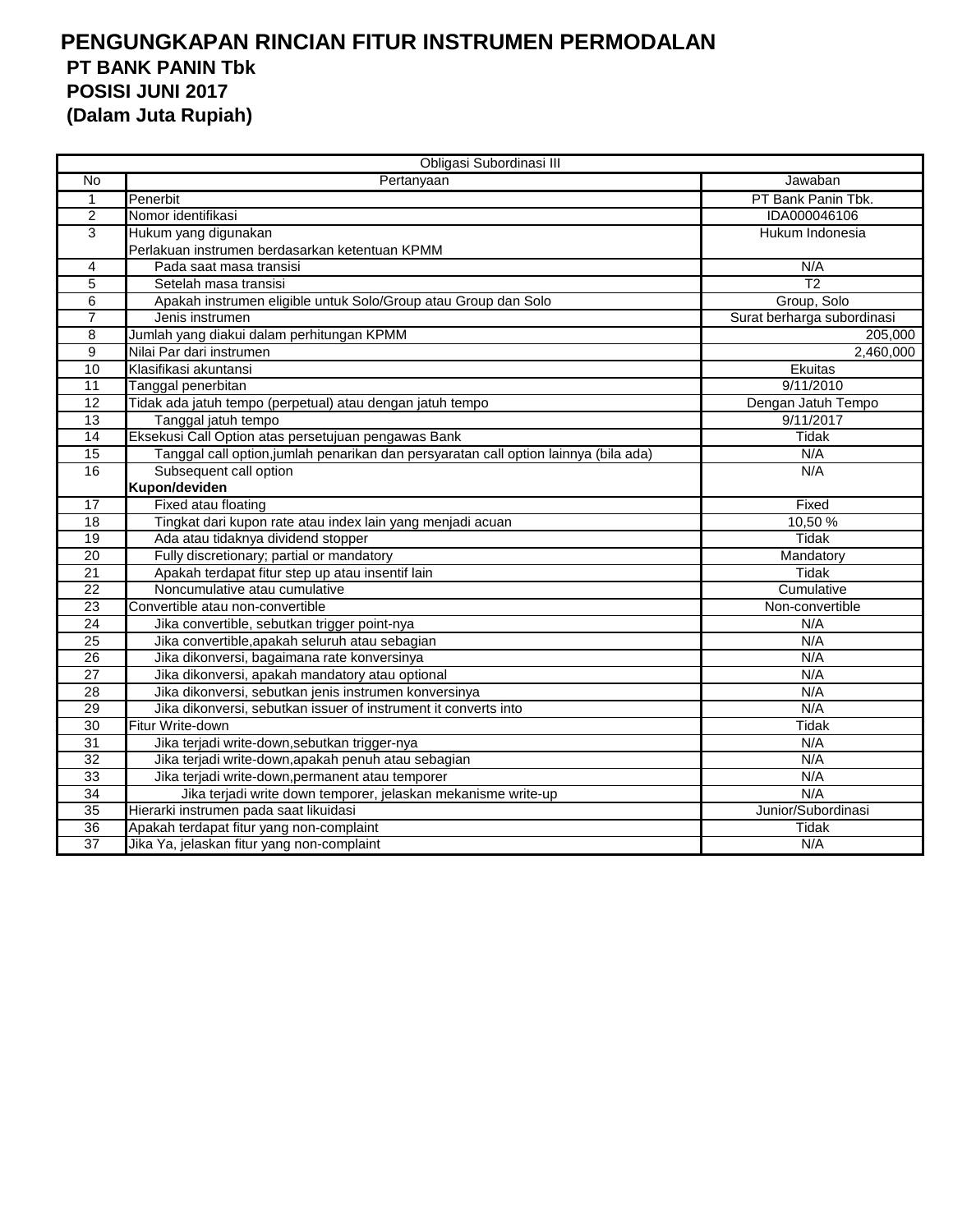|                 | Obligasi Subordinasi III                                                             |                            |
|-----------------|--------------------------------------------------------------------------------------|----------------------------|
| No              | Pertanyaan                                                                           | Jawaban                    |
| $\mathbf{1}$    | Penerbit                                                                             | PT Bank Panin Tbk.         |
| $\overline{2}$  | Nomor identifikasi                                                                   | IDA000046106               |
| 3               | Hukum yang digunakan                                                                 | Hukum Indonesia            |
|                 | Perlakuan instrumen berdasarkan ketentuan KPMM                                       |                            |
| 4               | Pada saat masa transisi                                                              | N/A                        |
| 5               | Setelah masa transisi                                                                | T <sub>2</sub>             |
| 6               | Apakah instrumen eligible untuk Solo/Group atau Group dan Solo                       | Group, Solo                |
| $\overline{7}$  | Jenis instrumen                                                                      | Surat berharga subordinasi |
| 8               | Jumlah yang diakui dalam perhitungan KPMM                                            | 205,000                    |
| 9               | Nilai Par dari instrumen                                                             | 2,460,000                  |
| 10              | Klasifikasi akuntansi                                                                | Ekuitas                    |
| 11              | Tanggal penerbitan                                                                   | 9/11/2010                  |
| 12              | Tidak ada jatuh tempo (perpetual) atau dengan jatuh tempo                            | Dengan Jatuh Tempo         |
| $\overline{13}$ | Tanggal jatuh tempo                                                                  | 9/11/2017                  |
| 14              | Eksekusi Call Option atas persetujuan pengawas Bank                                  | Tidak                      |
| $\overline{15}$ | Tanggal call option, jumlah penarikan dan persyaratan call option lainnya (bila ada) | N/A                        |
| 16              | Subsequent call option                                                               | N/A                        |
|                 | Kupon/deviden                                                                        |                            |
| 17              | Fixed atau floating                                                                  | Fixed                      |
| 18              | Tingkat dari kupon rate atau index lain yang menjadi acuan                           | 10,50%                     |
| 19              | Ada atau tidaknya dividend stopper                                                   | <b>Tidak</b>               |
| 20              | Fully discretionary; partial or mandatory                                            | Mandatory                  |
| 21              | Apakah terdapat fitur step up atau insentif lain                                     | Tidak                      |
| $\overline{22}$ | Noncumulative atau cumulative                                                        | Cumulative                 |
| $\overline{23}$ | Convertible atau non-convertible                                                     | Non-convertible            |
| 24              | Jika convertible, sebutkan trigger point-nya                                         | N/A                        |
| 25              | Jika convertible, apakah seluruh atau sebagian                                       | N/A                        |
| 26              | Jika dikonversi, bagaimana rate konversinya                                          | N/A                        |
| 27              | Jika dikonversi, apakah mandatory atau optional                                      | N/A                        |
| 28              | Jika dikonversi, sebutkan jenis instrumen konversinya                                | N/A                        |
| 29              | Jika dikonversi, sebutkan issuer of instrument it converts into                      | N/A                        |
| $\overline{30}$ | Fitur Write-down                                                                     | <b>Tidak</b>               |
| $\overline{31}$ | Jika terjadi write-down, sebutkan trigger-nya                                        | N/A                        |
| 32              | Jika terjadi write-down, apakah penuh atau sebagian                                  | N/A                        |
| 33              | Jika terjadi write-down, permanent atau temporer                                     | N/A                        |
| 34              | Jika terjadi write down temporer, jelaskan mekanisme write-up                        | N/A                        |
| 35              | Hierarki instrumen pada saat likuidasi                                               | Junior/Subordinasi         |
| $\overline{36}$ | Apakah terdapat fitur yang non-complaint                                             | Tidak                      |
| 37              | Jika Ya, jelaskan fitur yang non-complaint                                           | N/A                        |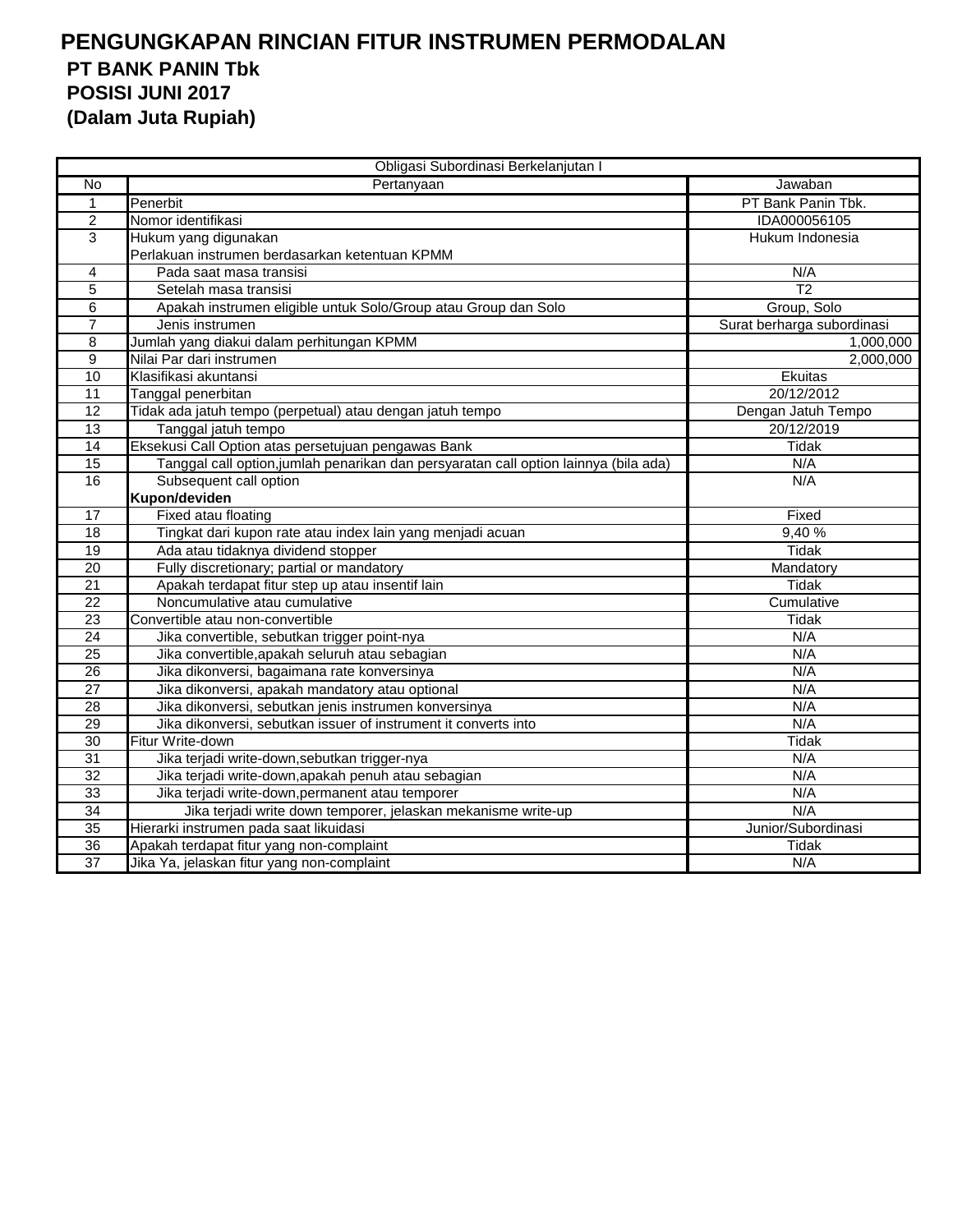|                 | Obligasi Subordinasi Berkelanjutan I                                                 |                            |
|-----------------|--------------------------------------------------------------------------------------|----------------------------|
| No              | Pertanyaan                                                                           | Jawaban                    |
| $\mathbf{1}$    | Penerbit                                                                             | PT Bank Panin Tbk.         |
| $\overline{2}$  | Nomor identifikasi                                                                   | IDA000056105               |
| 3               | Hukum yang digunakan                                                                 | Hukum Indonesia            |
|                 | Perlakuan instrumen berdasarkan ketentuan KPMM                                       |                            |
| 4               | Pada saat masa transisi                                                              | N/A                        |
| $\overline{5}$  | Setelah masa transisi                                                                | $\overline{12}$            |
| 6               | Apakah instrumen eligible untuk Solo/Group atau Group dan Solo                       | Group, Solo                |
| $\overline{7}$  | Jenis instrumen                                                                      | Surat berharga subordinasi |
| 8               | Jumlah yang diakui dalam perhitungan KPMM                                            | 1,000,000                  |
| 9               | Nilai Par dari instrumen                                                             | 2,000,000                  |
| 10              | Klasifikasi akuntansi                                                                | Ekuitas                    |
| 11              | Tanggal penerbitan                                                                   | 20/12/2012                 |
| 12              | Tidak ada jatuh tempo (perpetual) atau dengan jatuh tempo                            | Dengan Jatuh Tempo         |
| 13              | Tanggal jatuh tempo                                                                  | 20/12/2019                 |
| 14              | Eksekusi Call Option atas persetujuan pengawas Bank                                  | Tidak                      |
| 15              | Tanggal call option, jumlah penarikan dan persyaratan call option lainnya (bila ada) | N/A                        |
| 16              | Subsequent call option                                                               | N/A                        |
|                 | Kupon/deviden                                                                        |                            |
| 17              | Fixed atau floating                                                                  | Fixed                      |
| 18              | Tingkat dari kupon rate atau index lain yang menjadi acuan                           | 9,40%                      |
| 19              | Ada atau tidaknya dividend stopper                                                   | <b>Tidak</b>               |
| $\overline{20}$ | Fully discretionary; partial or mandatory                                            | Mandatory                  |
| 21              | Apakah terdapat fitur step up atau insentif lain                                     | <b>Tidak</b>               |
| $\overline{22}$ | Noncumulative atau cumulative                                                        | Cumulative                 |
| 23              | Convertible atau non-convertible                                                     | Tidak                      |
| 24              | Jika convertible, sebutkan trigger point-nya                                         | N/A                        |
| 25              | Jika convertible, apakah seluruh atau sebagian                                       | N/A                        |
| 26              | Jika dikonversi, bagaimana rate konversinya                                          | N/A                        |
| $\overline{27}$ | Jika dikonversi, apakah mandatory atau optional                                      | N/A                        |
| 28              | Jika dikonversi, sebutkan jenis instrumen konversinya                                | N/A                        |
| 29              | Jika dikonversi, sebutkan issuer of instrument it converts into                      | N/A                        |
| 30              | Fitur Write-down                                                                     | <b>Tidak</b>               |
| 31              | Jika terjadi write-down, sebutkan trigger-nya                                        | N/A                        |
| $\overline{32}$ | Jika terjadi write-down, apakah penuh atau sebagian                                  | N/A                        |
| 33              | Jika terjadi write-down, permanent atau temporer                                     | N/A                        |
| 34              | Jika terjadi write down temporer, jelaskan mekanisme write-up                        | N/A                        |
| 35              | Hierarki instrumen pada saat likuidasi                                               | Junior/Subordinasi         |
| 36              | Apakah terdapat fitur yang non-complaint                                             | Tidak                      |
| 37              | Jika Ya, jelaskan fitur yang non-complaint                                           | N/A                        |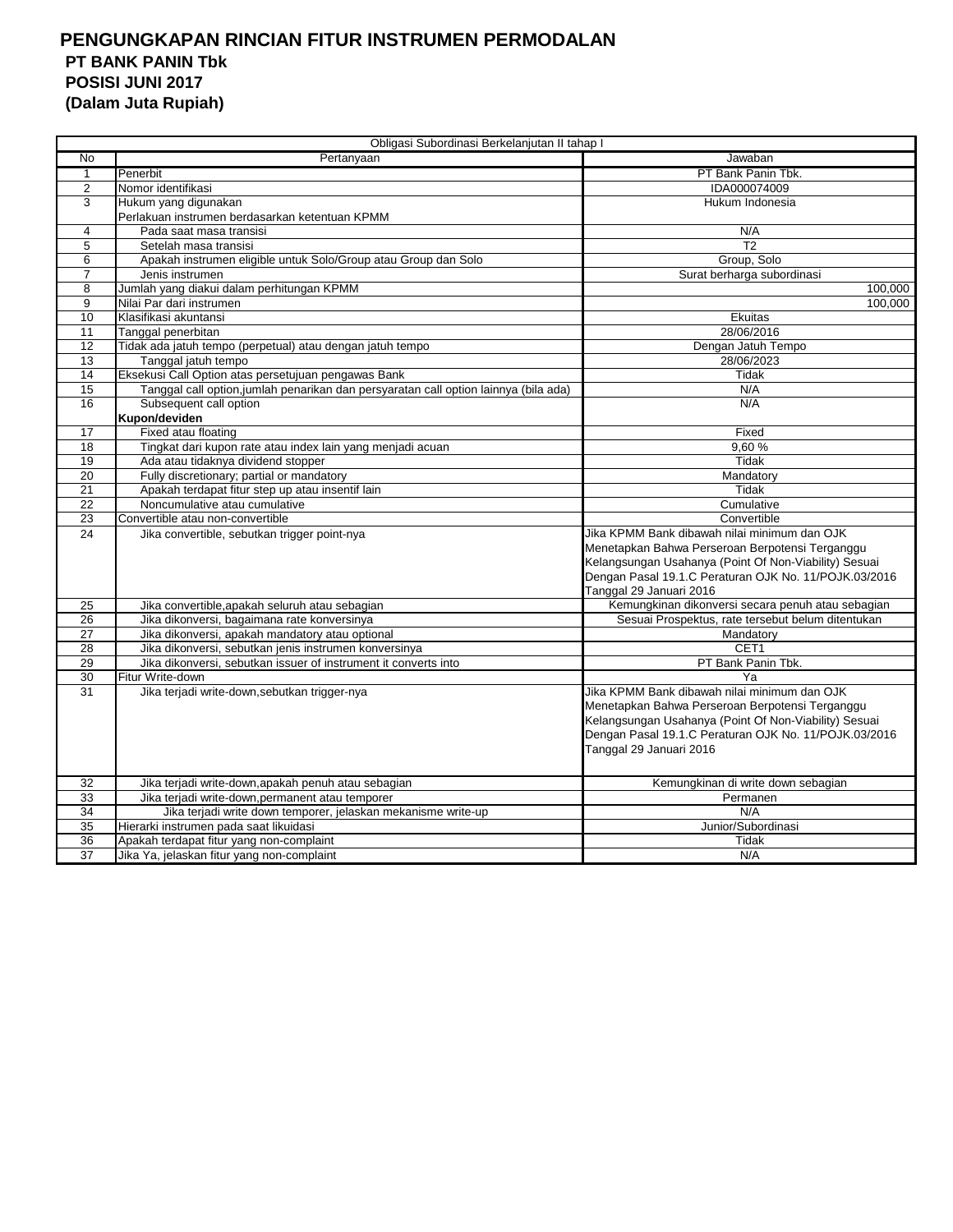| Obligasi Subordinasi Berkelanjutan II tahap I |                                                                                      |                                                       |  |
|-----------------------------------------------|--------------------------------------------------------------------------------------|-------------------------------------------------------|--|
| $\overline{N}$                                | Pertanyaan                                                                           | Jawaban                                               |  |
| $\mathbf{1}$                                  | Penerbit                                                                             | PT Bank Panin Tbk.                                    |  |
| $\overline{c}$                                | Nomor identifikasi                                                                   | IDA000074009                                          |  |
| 3                                             | Hukum yang digunakan                                                                 | Hukum Indonesia                                       |  |
|                                               | Perlakuan instrumen berdasarkan ketentuan KPMM                                       |                                                       |  |
| 4                                             | Pada saat masa transisi                                                              | N/A                                                   |  |
| 5                                             | Setelah masa transisi                                                                | T <sub>2</sub>                                        |  |
| 6                                             | Apakah instrumen eligible untuk Solo/Group atau Group dan Solo                       | Group, Solo                                           |  |
| 7                                             | Jenis instrumen                                                                      | Surat berharga subordinasi                            |  |
| 8                                             | Jumlah yang diakui dalam perhitungan KPMM                                            | 100,000                                               |  |
| 9                                             | Nilai Par dari instrumen                                                             | 100.000                                               |  |
| 10                                            | Klasifikasi akuntansi                                                                | Ekuitas                                               |  |
| 11                                            | Tanggal penerbitan                                                                   | 28/06/2016                                            |  |
| 12                                            | Tidak ada jatuh tempo (perpetual) atau dengan jatuh tempo                            | Dengan Jatuh Tempo                                    |  |
| 13                                            | Tanggal jatuh tempo                                                                  | 28/06/2023                                            |  |
| 14                                            | Eksekusi Call Option atas persetujuan pengawas Bank                                  | Tidak                                                 |  |
| 15                                            | Tanggal call option, jumlah penarikan dan persyaratan call option lainnya (bila ada) | N/A                                                   |  |
| 16                                            | Subsequent call option                                                               | N/A                                                   |  |
|                                               | Kupon/deviden                                                                        |                                                       |  |
| 17                                            | Fixed atau floating                                                                  | Fixed                                                 |  |
| 18                                            | Tingkat dari kupon rate atau index lain yang menjadi acuan                           | 9.60%                                                 |  |
| 19                                            | Ada atau tidaknya dividend stopper                                                   | Tidak                                                 |  |
| 20                                            | Fully discretionary; partial or mandatory                                            | Mandatory                                             |  |
| 21                                            | Apakah terdapat fitur step up atau insentif lain                                     | Tidak                                                 |  |
| 22                                            | Noncumulative atau cumulative                                                        | Cumulative                                            |  |
| 23                                            | Convertible atau non-convertible                                                     | Convertible                                           |  |
| 24                                            | Jika convertible, sebutkan trigger point-nya                                         | Jika KPMM Bank dibawah nilai minimum dan OJK          |  |
|                                               |                                                                                      | Menetapkan Bahwa Perseroan Berpotensi Terganggu       |  |
|                                               |                                                                                      | Kelangsungan Usahanya (Point Of Non-Viability) Sesuai |  |
|                                               |                                                                                      | Dengan Pasal 19.1.C Peraturan OJK No. 11/POJK.03/2016 |  |
|                                               |                                                                                      | Tanggal 29 Januari 2016                               |  |
| 25                                            | Jika convertible, apakah seluruh atau sebagian                                       | Kemungkinan dikonversi secara penuh atau sebagian     |  |
| 26                                            | Jika dikonversi, bagaimana rate konversinya                                          | Sesuai Prospektus, rate tersebut belum ditentukan     |  |
| $\overline{27}$                               | Jika dikonversi, apakah mandatory atau optional                                      | Mandatory                                             |  |
| 28                                            | Jika dikonversi, sebutkan jenis instrumen konversinya                                | CET <sub>1</sub>                                      |  |
| 29                                            | Jika dikonversi, sebutkan issuer of instrument it converts into                      | PT Bank Panin Tbk.                                    |  |
| 30                                            | Fitur Write-down                                                                     | Ya                                                    |  |
| 31                                            | Jika terjadi write-down, sebutkan trigger-nya                                        | Jika KPMM Bank dibawah nilai minimum dan OJK          |  |
|                                               |                                                                                      | Menetapkan Bahwa Perseroan Berpotensi Terganggu       |  |
|                                               |                                                                                      | Kelangsungan Usahanya (Point Of Non-Viability) Sesuai |  |
|                                               |                                                                                      | Dengan Pasal 19.1.C Peraturan OJK No. 11/POJK.03/2016 |  |
|                                               |                                                                                      | Tanggal 29 Januari 2016                               |  |
|                                               |                                                                                      |                                                       |  |
| 32                                            | Jika terjadi write-down, apakah penuh atau sebagian                                  | Kemungkinan di write down sebagian                    |  |
| 33                                            | Jika terjadi write-down, permanent atau temporer                                     | Permanen                                              |  |
| 34                                            | Jika terjadi write down temporer, jelaskan mekanisme write-up                        | N/A                                                   |  |
| 35                                            | Hierarki instrumen pada saat likuidasi                                               | Junior/Subordinasi                                    |  |
| 36                                            | Apakah terdapat fitur yang non-complaint                                             | Tidak                                                 |  |
| 37                                            | Jika Ya, jelaskan fitur yang non-complaint                                           | N/A                                                   |  |